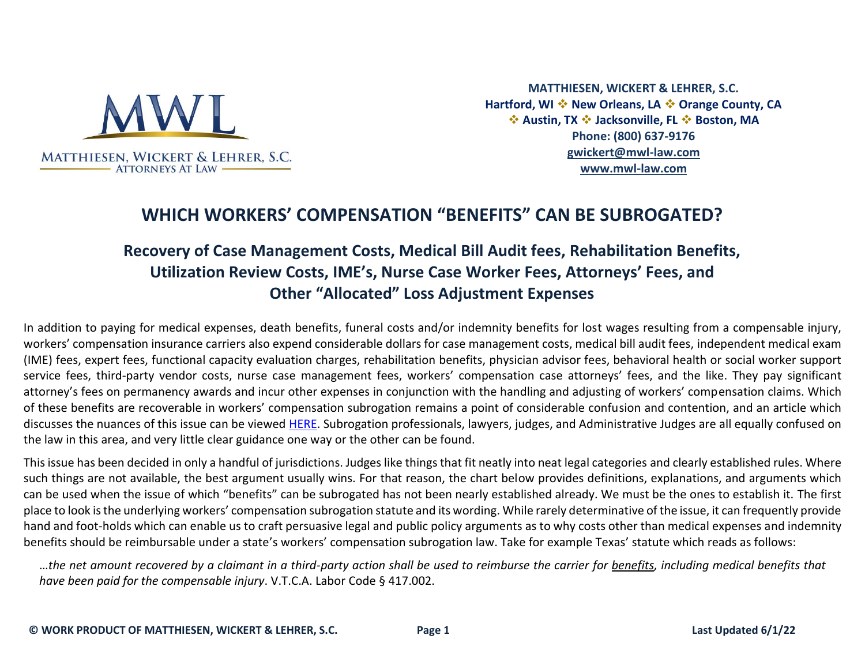

**MATTHIESEN, WICKERT & LEHRER, S.C. Hartford, WI** ❖ **New Orleans, LA** ❖ **Orange County, CA**  ❖ **Austin, TX** ❖ **Jacksonville, FL** ❖ **Boston, MA Phone: (800) 637-9176 [gwickert@mwl-law.com](mailto:gwickert@mwl-law.com) [www.mwl-law.com](http://www.mwl-law.com/)**

## **WHICH WORKERS' COMPENSATION "BENEFITS" CAN BE SUBROGATED?**

## **Recovery of Case Management Costs, Medical Bill Audit fees, Rehabilitation Benefits, Utilization Review Costs, IME's, Nurse Case Worker Fees, Attorneys' Fees, and Other "Allocated" Loss Adjustment Expenses**

In addition to paying for medical expenses, death benefits, funeral costs and/or indemnity benefits for lost wages resulting from a compensable injury, workers' compensation insurance carriers also expend considerable dollars for case management costs, medical bill audit fees, independent medical exam (IME) fees, expert fees, functional capacity evaluation charges, rehabilitation benefits, physician advisor fees, behavioral health or social worker support service fees, third-party vendor costs, nurse case management fees, workers' compensation case attorneys' fees, and the like. They pay significant attorney's fees on permanency awards and incur other expenses in conjunction with the handling and adjusting of workers' compensation claims. Which of these benefits are recoverable in workers' compensation subrogation remains a point of considerable confusion and contention, and an article which discusses the nuances of this issue can be viewed [HERE.](https://www.mwl-law.com/wp-content/uploads/2013/03/Which-Payments-Can-Be-Recovered.pdf) Subrogation professionals, lawyers, judges, and Administrative Judges are all equally confused on the law in this area, and very little clear guidance one way or the other can be found.

This issue has been decided in only a handful of jurisdictions. Judges like things that fit neatly into neat legal categories and clearly established rules. Where such things are not available, the best argument usually wins. For that reason, the chart below provides definitions, explanations, and arguments which can be used when the issue of which "benefits" can be subrogated has not been nearly established already. We must be the ones to establish it. The first place to look is the underlying workers' compensation subrogation statute and its wording. While rarely determinative of the issue, it can frequently provide hand and foot-holds which can enable us to craft persuasive legal and public policy arguments as to why costs other than medical expenses and indemnity benefits should be reimbursable under a state's workers' compensation subrogation law. Take for example Texas' statute which reads as follows:

…*the net amount recovered by a claimant in a third-party action shall be used to reimburse the carrier for benefits, including medical benefits that have been paid for the compensable injury*. V.T.C.A. Labor Code § 417.002.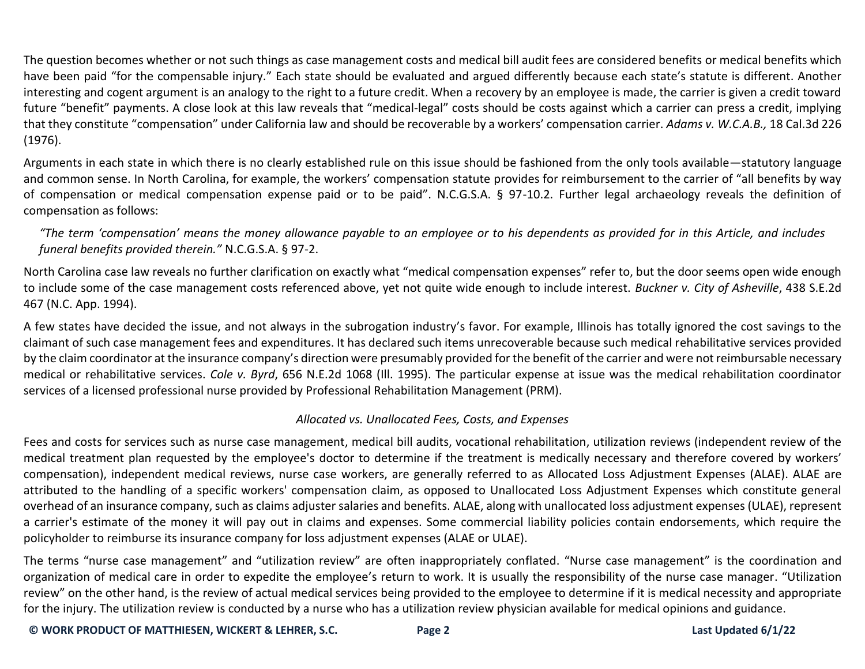The question becomes whether or not such things as case management costs and medical bill audit fees are considered benefits or medical benefits which have been paid "for the compensable injury." Each state should be evaluated and argued differently because each state's statute is different. Another interesting and cogent argument is an analogy to the right to a future credit. When a recovery by an employee is made, the carrier is given a credit toward future "benefit" payments. A close look at this law reveals that "medical-legal" costs should be costs against which a carrier can press a credit, implying that they constitute "compensation" under California law and should be recoverable by a workers' compensation carrier. *Adams v. W.C.A.B.,* 18 Cal.3d 226 (1976).

Arguments in each state in which there is no clearly established rule on this issue should be fashioned from the only tools available—statutory language and common sense. In North Carolina, for example, the workers' compensation statute provides for reimbursement to the carrier of "all benefits by way of compensation or medical compensation expense paid or to be paid". N.C.G.S.A. § 97-10.2. Further legal archaeology reveals the definition of compensation as follows:

*"The term 'compensation' means the money allowance payable to an employee or to his dependents as provided for in this Article, and includes funeral benefits provided therein."* N.C.G.S.A. § 97-2.

North Carolina case law reveals no further clarification on exactly what "medical compensation expenses" refer to, but the door seems open wide enough to include some of the case management costs referenced above, yet not quite wide enough to include interest. *Buckner v. City of Asheville*, 438 S.E.2d 467 (N.C. App. 1994).

A few states have decided the issue, and not always in the subrogation industry's favor. For example, Illinois has totally ignored the cost savings to the claimant of such case management fees and expenditures. It has declared such items unrecoverable because such medical rehabilitative services provided by the claim coordinator at the insurance company's direction were presumably provided for the benefit of the carrier and were not reimbursable necessary medical or rehabilitative services. *Cole v. Byrd*, 656 N.E.2d 1068 (Ill. 1995). The particular expense at issue was the medical rehabilitation coordinator services of a licensed professional nurse provided by Professional Rehabilitation Management (PRM).

## *Allocated vs. Unallocated Fees, Costs, and Expenses*

Fees and costs for services such as nurse case management, medical bill audits, vocational rehabilitation, utilization reviews (independent review of the medical treatment plan requested by the employee's doctor to determine if the treatment is medically necessary and therefore covered by workers' compensation), independent medical reviews, nurse case workers, are generally referred to as Allocated Loss Adjustment Expenses (ALAE). ALAE are attributed to the handling of a specific workers' compensation claim, as opposed to Unallocated Loss Adjustment Expenses which constitute general overhead of an insurance company, such as claims adjuster salaries and benefits. ALAE, along with unallocated loss adjustment expenses (ULAE), represent a carrier's estimate of the money it will pay out in claims and expenses. Some commercial liability policies contain endorsements, which require the policyholder to reimburse its insurance company for loss adjustment expenses (ALAE or ULAE).

The terms "nurse case management" and "utilization review" are often inappropriately conflated. "Nurse case management" is the coordination and organization of medical care in order to expedite the employee's return to work. It is usually the responsibility of the nurse case manager. "Utilization review" on the other hand, is the review of actual medical services being provided to the employee to determine if it is medical necessity and appropriate for the injury. The utilization review is conducted by a nurse who has a utilization review physician available for medical opinions and guidance.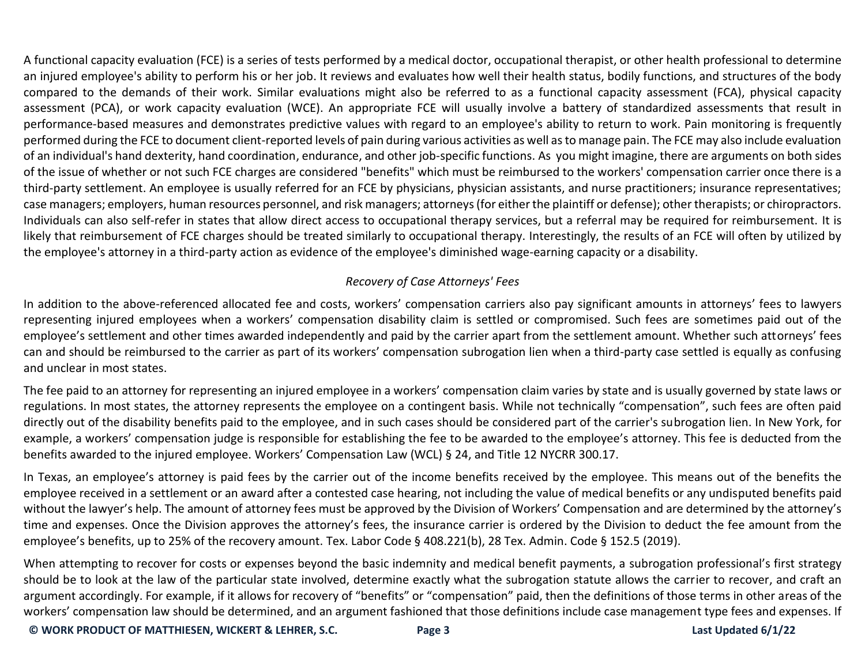A functional capacity evaluation (FCE) is a series of tests performed by a medical doctor, occupational therapist, or other health professional to determine an injured employee's ability to perform his or her job. It reviews and evaluates how well their health status, bodily functions, and structures of the body compared to the demands of their work. Similar evaluations might also be referred to as a functional capacity assessment (FCA), physical capacity assessment (PCA), or work capacity evaluation (WCE). An appropriate FCE will usually involve a battery of standardized assessments that result in performance-based measures and demonstrates predictive values with regard to an employee's ability to return to work. Pain monitoring is frequently performed during the FCE to document client-reported levels of pain during various activities as well as to manage pain. The FCE may also include evaluation of an individual's hand dexterity, hand coordination, endurance, and other job-specific functions. As you might imagine, there are arguments on both sides of the issue of whether or not such FCE charges are considered "benefits" which must be reimbursed to the workers' compensation carrier once there is a third-party settlement. An employee is usually referred for an FCE by physicians, physician assistants, and nurse practitioners; insurance representatives; case managers; employers, human resources personnel, and risk managers; attorneys (for either the plaintiff or defense); other therapists; or chiropractors. Individuals can also self-refer in states that allow direct access to occupational therapy services, but a referral may be required for reimbursement. It is likely that reimbursement of FCE charges should be treated similarly to occupational therapy. Interestingly, the results of an FCE will often by utilized by the employee's attorney in a third-party action as evidence of the employee's diminished wage-earning capacity or a disability.

## *Recovery of Case Attorneys' Fees*

In addition to the above-referenced allocated fee and costs, workers' compensation carriers also pay significant amounts in attorneys' fees to lawyers representing injured employees when a workers' compensation disability claim is settled or compromised. Such fees are sometimes paid out of the employee's settlement and other times awarded independently and paid by the carrier apart from the settlement amount. Whether such attorneys' fees can and should be reimbursed to the carrier as part of its workers' compensation subrogation lien when a third-party case settled is equally as confusing and unclear in most states.

The fee paid to an attorney for representing an injured employee in a workers' compensation claim varies by state and is usually governed by state laws or regulations. In most states, the attorney represents the employee on a contingent basis. While not technically "compensation", such fees are often paid directly out of the disability benefits paid to the employee, and in such cases should be considered part of the carrier's subrogation lien. In New York, for example, a workers' compensation judge is responsible for establishing the fee to be awarded to the employee's attorney. This fee is deducted from the benefits awarded to the injured employee. Workers' Compensation Law (WCL) § 24, and Title 12 NYCRR 300.17.

In Texas, an employee's attorney is paid fees by the carrier out of the income benefits received by the employee. This means out of the benefits the employee received in a settlement or an award after a contested case hearing, not including the value of medical benefits or any undisputed benefits paid without the lawyer's help. The amount of attorney fees must be approved by the Division of Workers' Compensation and are determined by the attorney's time and expenses. Once the Division approves the attorney's fees, the insurance carrier is ordered by the Division to deduct the fee amount from the employee's benefits, up to 25% of the recovery amount. Tex. Labor Code § 408.221(b), 28 Tex. Admin. Code § 152.5 (2019).

When attempting to recover for costs or expenses beyond the basic indemnity and medical benefit payments, a subrogation professional's first strategy should be to look at the law of the particular state involved, determine exactly what the subrogation statute allows the carrier to recover, and craft an argument accordingly. For example, if it allows for recovery of "benefits" or "compensation" paid, then the definitions of those terms in other areas of the workers' compensation law should be determined, and an argument fashioned that those definitions include case management type fees and expenses. If

**© WORK PRODUCT OF MATTHIESEN, WICKERT & LEHRER, S.C. Page 3 Last Updated 6/1/22**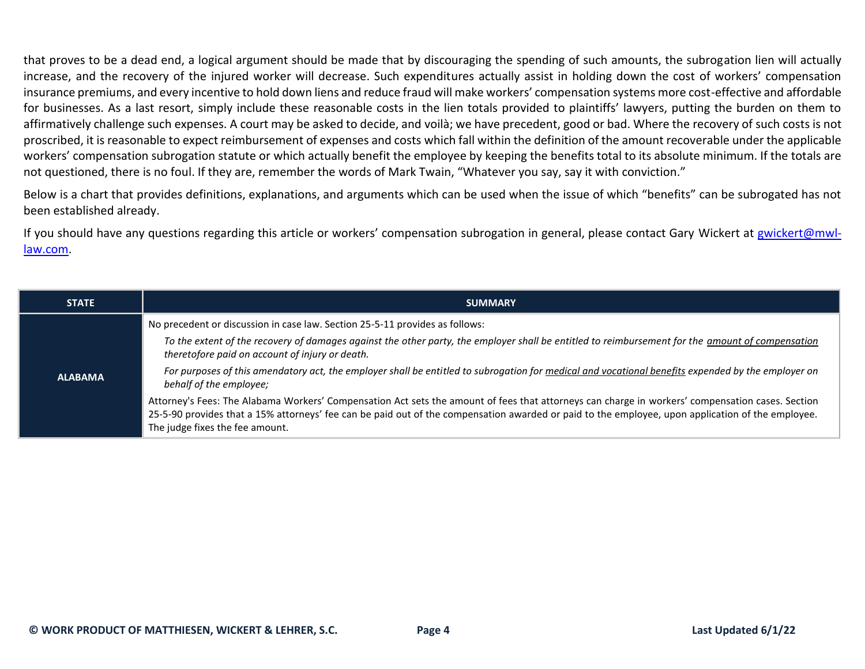that proves to be a dead end, a logical argument should be made that by discouraging the spending of such amounts, the subrogation lien will actually increase, and the recovery of the injured worker will decrease. Such expenditures actually assist in holding down the cost of workers' compensation insurance premiums, and every incentive to hold down liens and reduce fraud will make workers' compensation systems more cost-effective and affordable for businesses. As a last resort, simply include these reasonable costs in the lien totals provided to plaintiffs' lawyers, putting the burden on them to affirmatively challenge such expenses. A court may be asked to decide, and voilà; we have precedent, good or bad. Where the recovery of such costs is not proscribed, it is reasonable to expect reimbursement of expenses and costs which fall within the definition of the amount recoverable under the applicable workers' compensation subrogation statute or which actually benefit the employee by keeping the benefits total to its absolute minimum. If the totals are not questioned, there is no foul. If they are, remember the words of Mark Twain, "Whatever you say, say it with conviction."

Below is a chart that provides definitions, explanations, and arguments which can be used when the issue of which "benefits" can be subrogated has not been established already.

If you should have any questions regarding this article or workers' compensation subrogation in general, please contact Gary Wickert at [gwickert@mwl](mailto:gwickert@mwl-law.com)[law.com.](mailto:gwickert@mwl-law.com)

| <b>STATE</b>   | <b>SUMMARY</b>                                                                                                                                                                                                                                                                                                                           |
|----------------|------------------------------------------------------------------------------------------------------------------------------------------------------------------------------------------------------------------------------------------------------------------------------------------------------------------------------------------|
| <b>ALABAMA</b> | No precedent or discussion in case law. Section 25-5-11 provides as follows:                                                                                                                                                                                                                                                             |
|                | To the extent of the recovery of damages against the other party, the employer shall be entitled to reimbursement for the amount of compensation<br>theretofore paid on account of injury or death.                                                                                                                                      |
|                | For purposes of this amendatory act, the employer shall be entitled to subrogation for medical and vocational benefits expended by the employer on<br>behalf of the employee;                                                                                                                                                            |
|                | Attorney's Fees: The Alabama Workers' Compensation Act sets the amount of fees that attorneys can charge in workers' compensation cases. Section<br>25-5-90 provides that a 15% attorneys' fee can be paid out of the compensation awarded or paid to the employee, upon application of the employee.<br>The judge fixes the fee amount. |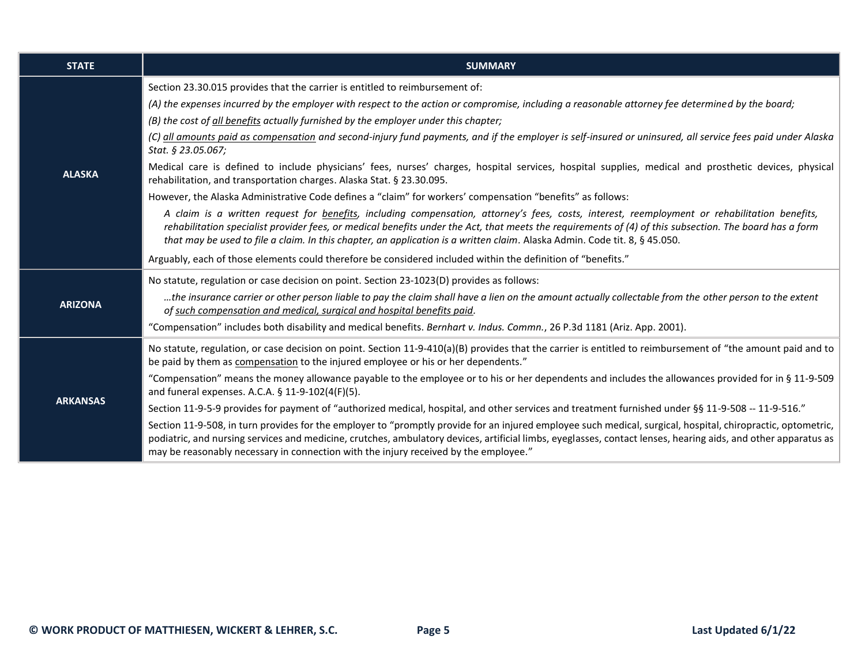| <b>STATE</b>    | <b>SUMMARY</b>                                                                                                                                                                                                                                                                                                                                                                                                                                 |
|-----------------|------------------------------------------------------------------------------------------------------------------------------------------------------------------------------------------------------------------------------------------------------------------------------------------------------------------------------------------------------------------------------------------------------------------------------------------------|
|                 | Section 23.30.015 provides that the carrier is entitled to reimbursement of:                                                                                                                                                                                                                                                                                                                                                                   |
|                 | (A) the expenses incurred by the employer with respect to the action or compromise, including a reasonable attorney fee determined by the board;                                                                                                                                                                                                                                                                                               |
|                 | (B) the cost of all benefits actually furnished by the employer under this chapter;                                                                                                                                                                                                                                                                                                                                                            |
|                 | (C) all amounts paid as compensation and second-injury fund payments, and if the employer is self-insured or uninsured, all service fees paid under Alaska<br>Stat. § 23.05.067;                                                                                                                                                                                                                                                               |
| <b>ALASKA</b>   | Medical care is defined to include physicians' fees, nurses' charges, hospital services, hospital supplies, medical and prosthetic devices, physical<br>rehabilitation, and transportation charges. Alaska Stat. § 23.30.095.                                                                                                                                                                                                                  |
|                 | However, the Alaska Administrative Code defines a "claim" for workers' compensation "benefits" as follows:                                                                                                                                                                                                                                                                                                                                     |
|                 | A claim is a written request for <b>benefits</b> , including compensation, attorney's fees, costs, interest, reemployment or rehabilitation benefits,<br>rehabilitation specialist provider fees, or medical benefits under the Act, that meets the requirements of (4) of this subsection. The board has a form<br>that may be used to file a claim. In this chapter, an application is a written claim. Alaska Admin. Code tit. 8, § 45.050. |
|                 | Arguably, each of those elements could therefore be considered included within the definition of "benefits."                                                                                                                                                                                                                                                                                                                                   |
|                 | No statute, regulation or case decision on point. Section 23-1023(D) provides as follows:                                                                                                                                                                                                                                                                                                                                                      |
| <b>ARIZONA</b>  | the insurance carrier or other person liable to pay the claim shall have a lien on the amount actually collectable from the other person to the extent<br>of such compensation and medical, surgical and hospital benefits paid.                                                                                                                                                                                                               |
|                 | "Compensation" includes both disability and medical benefits. Bernhart v. Indus. Commn., 26 P.3d 1181 (Ariz. App. 2001).                                                                                                                                                                                                                                                                                                                       |
| <b>ARKANSAS</b> | No statute, regulation, or case decision on point. Section 11-9-410(a)(B) provides that the carrier is entitled to reimbursement of "the amount paid and to<br>be paid by them as compensation to the injured employee or his or her dependents."                                                                                                                                                                                              |
|                 | "Compensation" means the money allowance payable to the employee or to his or her dependents and includes the allowances provided for in § 11-9-509<br>and funeral expenses. A.C.A. § 11-9-102(4(F)(5).                                                                                                                                                                                                                                        |
|                 | Section 11-9-5-9 provides for payment of "authorized medical, hospital, and other services and treatment furnished under §§ 11-9-508 -- 11-9-516."                                                                                                                                                                                                                                                                                             |
|                 | Section 11-9-508, in turn provides for the employer to "promptly provide for an injured employee such medical, surgical, hospital, chiropractic, optometric,<br>podiatric, and nursing services and medicine, crutches, ambulatory devices, artificial limbs, eyeglasses, contact lenses, hearing aids, and other apparatus as<br>may be reasonably necessary in connection with the injury received by the employee."                         |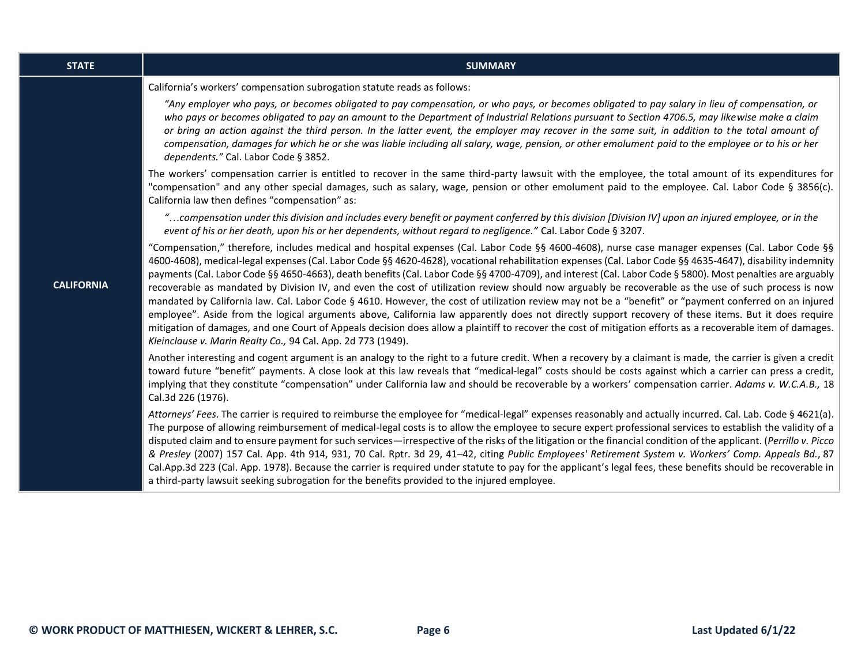| <b>STATE</b>      | <b>SUMMARY</b>                                                                                                                                                                                                                                                                                                                                                                                                                                                                                                                                                                                                                                                                                                                                                                                                                                                                                                                                                                                                                                                                                                                                                                        |
|-------------------|---------------------------------------------------------------------------------------------------------------------------------------------------------------------------------------------------------------------------------------------------------------------------------------------------------------------------------------------------------------------------------------------------------------------------------------------------------------------------------------------------------------------------------------------------------------------------------------------------------------------------------------------------------------------------------------------------------------------------------------------------------------------------------------------------------------------------------------------------------------------------------------------------------------------------------------------------------------------------------------------------------------------------------------------------------------------------------------------------------------------------------------------------------------------------------------|
|                   | California's workers' compensation subrogation statute reads as follows:                                                                                                                                                                                                                                                                                                                                                                                                                                                                                                                                                                                                                                                                                                                                                                                                                                                                                                                                                                                                                                                                                                              |
|                   | "Any employer who pays, or becomes obligated to pay compensation, or who pays, or becomes obligated to pay salary in lieu of compensation, or<br>who pays or becomes obligated to pay an amount to the Department of Industrial Relations pursuant to Section 4706.5, may likewise make a claim<br>or bring an action against the third person. In the latter event, the employer may recover in the same suit, in addition to the total amount of<br>compensation, damages for which he or she was liable including all salary, wage, pension, or other emolument paid to the employee or to his or her<br>dependents." Cal. Labor Code § 3852.                                                                                                                                                                                                                                                                                                                                                                                                                                                                                                                                      |
|                   | The workers' compensation carrier is entitled to recover in the same third-party lawsuit with the employee, the total amount of its expenditures for<br>"compensation" and any other special damages, such as salary, wage, pension or other emolument paid to the employee. Cal. Labor Code § 3856(c).<br>California law then defines "compensation" as:                                                                                                                                                                                                                                                                                                                                                                                                                                                                                                                                                                                                                                                                                                                                                                                                                             |
|                   | "compensation under this division and includes every benefit or payment conferred by this division [Division IV] upon an injured employee, or in the<br>event of his or her death, upon his or her dependents, without regard to negligence." Cal. Labor Code § 3207.                                                                                                                                                                                                                                                                                                                                                                                                                                                                                                                                                                                                                                                                                                                                                                                                                                                                                                                 |
| <b>CALIFORNIA</b> | "Compensation," therefore, includes medical and hospital expenses (Cal. Labor Code §§ 4600-4608), nurse case manager expenses (Cal. Labor Code §§<br>4600-4608), medical-legal expenses (Cal. Labor Code §§ 4620-4628), vocational rehabilitation expenses (Cal. Labor Code §§ 4635-4647), disability indemnity<br>payments (Cal. Labor Code §§ 4650-4663), death benefits (Cal. Labor Code §§ 4700-4709), and interest (Cal. Labor Code § 5800). Most penalties are arguably<br>recoverable as mandated by Division IV, and even the cost of utilization review should now arguably be recoverable as the use of such process is now<br>mandated by California law. Cal. Labor Code § 4610. However, the cost of utilization review may not be a "benefit" or "payment conferred on an injured<br>employee". Aside from the logical arguments above, California law apparently does not directly support recovery of these items. But it does require<br>mitigation of damages, and one Court of Appeals decision does allow a plaintiff to recover the cost of mitigation efforts as a recoverable item of damages.<br>Kleinclause v. Marin Realty Co., 94 Cal. App. 2d 773 (1949). |
|                   | Another interesting and cogent argument is an analogy to the right to a future credit. When a recovery by a claimant is made, the carrier is given a credit<br>toward future "benefit" payments. A close look at this law reveals that "medical-legal" costs should be costs against which a carrier can press a credit,<br>implying that they constitute "compensation" under California law and should be recoverable by a workers' compensation carrier. Adams v. W.C.A.B., 18<br>Cal.3d 226 (1976).                                                                                                                                                                                                                                                                                                                                                                                                                                                                                                                                                                                                                                                                               |
|                   | Attorneys' Fees. The carrier is required to reimburse the employee for "medical-legal" expenses reasonably and actually incurred. Cal. Lab. Code § 4621(a).<br>The purpose of allowing reimbursement of medical-legal costs is to allow the employee to secure expert professional services to establish the validity of a<br>disputed claim and to ensure payment for such services—irrespective of the risks of the litigation or the financial condition of the applicant. (Perrillo v. Picco<br>& Presley (2007) 157 Cal. App. 4th 914, 931, 70 Cal. Rptr. 3d 29, 41-42, citing Public Employees' Retirement System v. Workers' Comp. Appeals Bd., 87<br>Cal.App.3d 223 (Cal. App. 1978). Because the carrier is required under statute to pay for the applicant's legal fees, these benefits should be recoverable in<br>a third-party lawsuit seeking subrogation for the benefits provided to the injured employee.                                                                                                                                                                                                                                                            |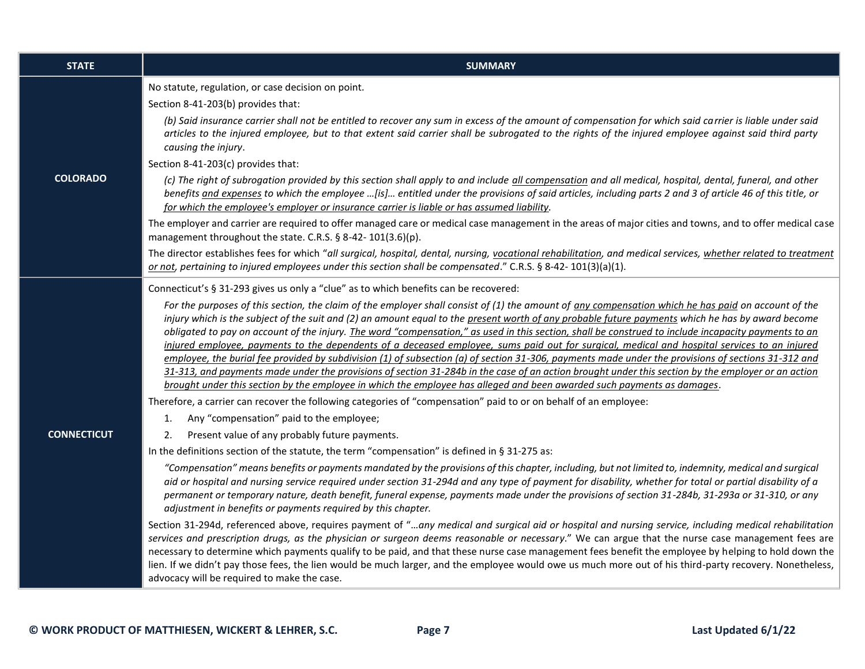| <b>STATE</b>       | <b>SUMMARY</b>                                                                                                                                                                                                                                                                                                                                                                                                                                                                                                                                                                                                                                                                                                                                                                                                                                                                                                                                                                                                                                           |
|--------------------|----------------------------------------------------------------------------------------------------------------------------------------------------------------------------------------------------------------------------------------------------------------------------------------------------------------------------------------------------------------------------------------------------------------------------------------------------------------------------------------------------------------------------------------------------------------------------------------------------------------------------------------------------------------------------------------------------------------------------------------------------------------------------------------------------------------------------------------------------------------------------------------------------------------------------------------------------------------------------------------------------------------------------------------------------------|
|                    | No statute, regulation, or case decision on point.<br>Section 8-41-203(b) provides that:                                                                                                                                                                                                                                                                                                                                                                                                                                                                                                                                                                                                                                                                                                                                                                                                                                                                                                                                                                 |
|                    | (b) Said insurance carrier shall not be entitled to recover any sum in excess of the amount of compensation for which said carrier is liable under said<br>articles to the injured employee, but to that extent said carrier shall be subrogated to the rights of the injured employee against said third party<br>causing the injury.                                                                                                                                                                                                                                                                                                                                                                                                                                                                                                                                                                                                                                                                                                                   |
|                    | Section 8-41-203(c) provides that:                                                                                                                                                                                                                                                                                                                                                                                                                                                                                                                                                                                                                                                                                                                                                                                                                                                                                                                                                                                                                       |
| <b>COLORADO</b>    | (c) The right of subrogation provided by this section shall apply to and include all compensation and all medical, hospital, dental, funeral, and other<br>benefits and expenses to which the employee [is] entitled under the provisions of said articles, including parts 2 and 3 of article 46 of this title, or<br>for which the employee's employer or insurance carrier is liable or has assumed liability.                                                                                                                                                                                                                                                                                                                                                                                                                                                                                                                                                                                                                                        |
|                    | The employer and carrier are required to offer managed care or medical case management in the areas of major cities and towns, and to offer medical case<br>management throughout the state. C.R.S. § 8-42-101(3.6)(p).                                                                                                                                                                                                                                                                                                                                                                                                                                                                                                                                                                                                                                                                                                                                                                                                                                  |
|                    | The director establishes fees for which "all surgical, hospital, dental, nursing, vocational rehabilitation, and medical services, whether related to treatment<br>or not, pertaining to injured employees under this section shall be compensated." C.R.S. § 8-42-101(3)(a)(1).                                                                                                                                                                                                                                                                                                                                                                                                                                                                                                                                                                                                                                                                                                                                                                         |
|                    | Connecticut's § 31-293 gives us only a "clue" as to which benefits can be recovered:                                                                                                                                                                                                                                                                                                                                                                                                                                                                                                                                                                                                                                                                                                                                                                                                                                                                                                                                                                     |
|                    | For the purposes of this section, the claim of the employer shall consist of (1) the amount of any compensation which he has paid on account of the<br>injury which is the subject of the suit and (2) an amount equal to the present worth of any probable future payments which he has by award become<br>obligated to pay on account of the injury. The word "compensation," as used in this section, shall be construed to include incapacity payments to an<br>injured employee, payments to the dependents of a deceased employee, sums paid out for surgical, medical and hospital services to an injured<br>employee, the burial fee provided by subdivision (1) of subsection (a) of section 31-306, payments made under the provisions of sections 31-312 and<br>31-313, and payments made under the provisions of section 31-284b in the case of an action brought under this section by the employer or an action<br>brought under this section by the employee in which the employee has alleged and been awarded such payments as damages. |
|                    | Therefore, a carrier can recover the following categories of "compensation" paid to or on behalf of an employee:                                                                                                                                                                                                                                                                                                                                                                                                                                                                                                                                                                                                                                                                                                                                                                                                                                                                                                                                         |
|                    | Any "compensation" paid to the employee;<br>1.                                                                                                                                                                                                                                                                                                                                                                                                                                                                                                                                                                                                                                                                                                                                                                                                                                                                                                                                                                                                           |
| <b>CONNECTICUT</b> | Present value of any probably future payments.<br>2.<br>In the definitions section of the statute, the term "compensation" is defined in § 31-275 as:                                                                                                                                                                                                                                                                                                                                                                                                                                                                                                                                                                                                                                                                                                                                                                                                                                                                                                    |
|                    | "Compensation" means benefits or payments mandated by the provisions of this chapter, including, but not limited to, indemnity, medical and surgical<br>aid or hospital and nursing service required under section 31-294d and any type of payment for disability, whether for total or partial disability of a<br>permanent or temporary nature, death benefit, funeral expense, payments made under the provisions of section 31-284b, 31-293a or 31-310, or any<br>adjustment in benefits or payments required by this chapter.                                                                                                                                                                                                                                                                                                                                                                                                                                                                                                                       |
|                    | Section 31-294d, referenced above, requires payment of "any medical and surgical aid or hospital and nursing service, including medical rehabilitation<br>services and prescription drugs, as the physician or surgeon deems reasonable or necessary." We can argue that the nurse case management fees are<br>necessary to determine which payments qualify to be paid, and that these nurse case management fees benefit the employee by helping to hold down the<br>lien. If we didn't pay those fees, the lien would be much larger, and the employee would owe us much more out of his third-party recovery. Nonetheless,<br>advocacy will be required to make the case.                                                                                                                                                                                                                                                                                                                                                                            |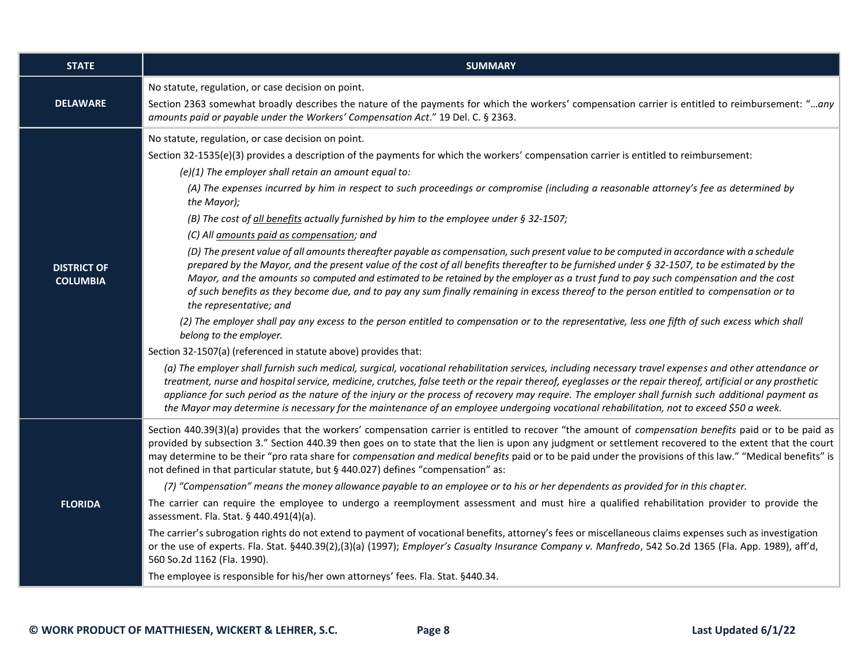| <b>STATE</b>                          | <b>SUMMARY</b>                                                                                                                                                                                                                                                                                                                                                                                                                                                                                                                                                                                                                                                                                                                                                                                                                                                                                                                                                                                                                                                                                                                                                                                                                                                                                                                                                                                                                                                                                                                                                                                                                                                                                                                                                                                                                                                                                                                                                                                                                                   |
|---------------------------------------|--------------------------------------------------------------------------------------------------------------------------------------------------------------------------------------------------------------------------------------------------------------------------------------------------------------------------------------------------------------------------------------------------------------------------------------------------------------------------------------------------------------------------------------------------------------------------------------------------------------------------------------------------------------------------------------------------------------------------------------------------------------------------------------------------------------------------------------------------------------------------------------------------------------------------------------------------------------------------------------------------------------------------------------------------------------------------------------------------------------------------------------------------------------------------------------------------------------------------------------------------------------------------------------------------------------------------------------------------------------------------------------------------------------------------------------------------------------------------------------------------------------------------------------------------------------------------------------------------------------------------------------------------------------------------------------------------------------------------------------------------------------------------------------------------------------------------------------------------------------------------------------------------------------------------------------------------------------------------------------------------------------------------------------------------|
| <b>DELAWARE</b>                       | No statute, regulation, or case decision on point.<br>Section 2363 somewhat broadly describes the nature of the payments for which the workers' compensation carrier is entitled to reimbursement: "any<br>amounts paid or payable under the Workers' Compensation Act." 19 Del. C. § 2363.                                                                                                                                                                                                                                                                                                                                                                                                                                                                                                                                                                                                                                                                                                                                                                                                                                                                                                                                                                                                                                                                                                                                                                                                                                                                                                                                                                                                                                                                                                                                                                                                                                                                                                                                                      |
| <b>DISTRICT OF</b><br><b>COLUMBIA</b> | No statute, regulation, or case decision on point.<br>Section 32-1535(e)(3) provides a description of the payments for which the workers' compensation carrier is entitled to reimbursement:<br>$(e)(1)$ The employer shall retain an amount equal to:<br>(A) The expenses incurred by him in respect to such proceedings or compromise (including a reasonable attorney's fee as determined by<br>the Mayor);<br>(B) The cost of all benefits actually furnished by him to the employee under § 32-1507;<br>(C) All amounts paid as compensation; and<br>(D) The present value of all amounts thereafter payable as compensation, such present value to be computed in accordance with a schedule<br>prepared by the Mayor, and the present value of the cost of all benefits thereafter to be furnished under § 32-1507, to be estimated by the<br>Mayor, and the amounts so computed and estimated to be retained by the employer as a trust fund to pay such compensation and the cost<br>of such benefits as they become due, and to pay any sum finally remaining in excess thereof to the person entitled to compensation or to<br>the representative; and<br>(2) The employer shall pay any excess to the person entitled to compensation or to the representative, less one fifth of such excess which shall<br>belong to the employer.<br>Section 32-1507(a) (referenced in statute above) provides that:<br>(a) The employer shall furnish such medical, surgical, vocational rehabilitation services, including necessary travel expenses and other attendance or<br>treatment, nurse and hospital service, medicine, crutches, false teeth or the repair thereof, eyeglasses or the repair thereof, artificial or any prosthetic<br>appliance for such period as the nature of the injury or the process of recovery may require. The employer shall furnish such additional payment as<br>the Mayor may determine is necessary for the maintenance of an employee undergoing vocational rehabilitation, not to exceed \$50 a week. |
| <b>FLORIDA</b>                        | Section 440.39(3)(a) provides that the workers' compensation carrier is entitled to recover "the amount of compensation benefits paid or to be paid as<br>provided by subsection 3." Section 440.39 then goes on to state that the lien is upon any judgment or settlement recovered to the extent that the court<br>may determine to be their "pro rata share for compensation and medical benefits paid or to be paid under the provisions of this law." "Medical benefits" is<br>not defined in that particular statute, but § 440.027) defines "compensation" as:<br>(7) "Compensation" means the money allowance payable to an employee or to his or her dependents as provided for in this chapter.<br>The carrier can require the employee to undergo a reemployment assessment and must hire a qualified rehabilitation provider to provide the<br>assessment. Fla. Stat. § 440.491(4)(a).<br>The carrier's subrogation rights do not extend to payment of vocational benefits, attorney's fees or miscellaneous claims expenses such as investigation<br>or the use of experts. Fla. Stat. §440.39(2),(3)(a) (1997); Employer's Casualty Insurance Company v. Manfredo, 542 So.2d 1365 (Fla. App. 1989), aff'd,<br>560 So.2d 1162 (Fla. 1990).<br>The employee is responsible for his/her own attorneys' fees. Fla. Stat. §440.34.                                                                                                                                                                                                                                                                                                                                                                                                                                                                                                                                                                                                                                                                                                      |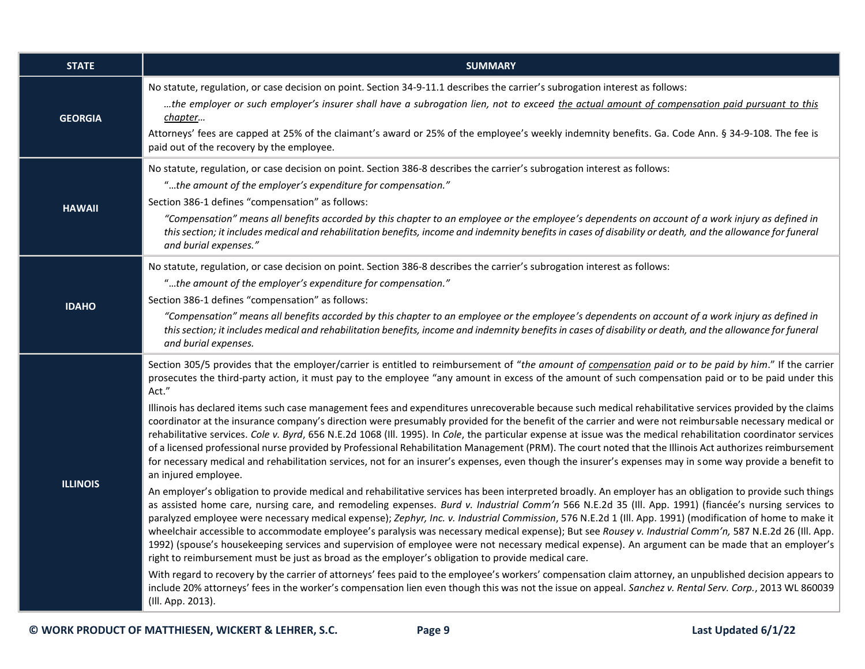| <b>STATE</b>    | <b>SUMMARY</b>                                                                                                                                                                                                                                                                                                                                                                                                                                                                                                                                                                                                                                                                                                                                                                                                                                                                                         |
|-----------------|--------------------------------------------------------------------------------------------------------------------------------------------------------------------------------------------------------------------------------------------------------------------------------------------------------------------------------------------------------------------------------------------------------------------------------------------------------------------------------------------------------------------------------------------------------------------------------------------------------------------------------------------------------------------------------------------------------------------------------------------------------------------------------------------------------------------------------------------------------------------------------------------------------|
| <b>GEORGIA</b>  | No statute, regulation, or case decision on point. Section 34-9-11.1 describes the carrier's subrogation interest as follows:<br>the employer or such employer's insurer shall have a subrogation lien, not to exceed the actual amount of compensation paid pursuant to this<br>chapter<br>Attorneys' fees are capped at 25% of the claimant's award or 25% of the employee's weekly indemnity benefits. Ga. Code Ann. § 34-9-108. The fee is                                                                                                                                                                                                                                                                                                                                                                                                                                                         |
|                 | paid out of the recovery by the employee.                                                                                                                                                                                                                                                                                                                                                                                                                                                                                                                                                                                                                                                                                                                                                                                                                                                              |
| <b>HAWAII</b>   | No statute, regulation, or case decision on point. Section 386-8 describes the carrier's subrogation interest as follows:<br>"the amount of the employer's expenditure for compensation."                                                                                                                                                                                                                                                                                                                                                                                                                                                                                                                                                                                                                                                                                                              |
|                 | Section 386-1 defines "compensation" as follows:<br>"Compensation" means all benefits accorded by this chapter to an employee or the employee's dependents on account of a work injury as defined in<br>this section; it includes medical and rehabilitation benefits, income and indemnity benefits in cases of disability or death, and the allowance for funeral<br>and burial expenses."                                                                                                                                                                                                                                                                                                                                                                                                                                                                                                           |
|                 | No statute, regulation, or case decision on point. Section 386-8 describes the carrier's subrogation interest as follows:                                                                                                                                                                                                                                                                                                                                                                                                                                                                                                                                                                                                                                                                                                                                                                              |
| <b>IDAHO</b>    | "the amount of the employer's expenditure for compensation."<br>Section 386-1 defines "compensation" as follows:                                                                                                                                                                                                                                                                                                                                                                                                                                                                                                                                                                                                                                                                                                                                                                                       |
|                 | "Compensation" means all benefits accorded by this chapter to an employee or the employee's dependents on account of a work injury as defined in<br>this section; it includes medical and rehabilitation benefits, income and indemnity benefits in cases of disability or death, and the allowance for funeral<br>and burial expenses.                                                                                                                                                                                                                                                                                                                                                                                                                                                                                                                                                                |
| <b>ILLINOIS</b> | Section 305/5 provides that the employer/carrier is entitled to reimbursement of "the amount of compensation paid or to be paid by him." If the carrier<br>prosecutes the third-party action, it must pay to the employee "any amount in excess of the amount of such compensation paid or to be paid under this<br>Act."                                                                                                                                                                                                                                                                                                                                                                                                                                                                                                                                                                              |
|                 | Illinois has declared items such case management fees and expenditures unrecoverable because such medical rehabilitative services provided by the claims<br>coordinator at the insurance company's direction were presumably provided for the benefit of the carrier and were not reimbursable necessary medical or<br>rehabilitative services. Cole v. Byrd, 656 N.E.2d 1068 (III. 1995). In Cole, the particular expense at issue was the medical rehabilitation coordinator services<br>of a licensed professional nurse provided by Professional Rehabilitation Management (PRM). The court noted that the Illinois Act authorizes reimbursement<br>for necessary medical and rehabilitation services, not for an insurer's expenses, even though the insurer's expenses may in some way provide a benefit to<br>an injured employee.                                                              |
|                 | An employer's obligation to provide medical and rehabilitative services has been interpreted broadly. An employer has an obligation to provide such things<br>as assisted home care, nursing care, and remodeling expenses. Burd v. Industrial Comm'n 566 N.E.2d 35 (Ill. App. 1991) (fiancée's nursing services to<br>paralyzed employee were necessary medical expense); Zephyr, Inc. v. Industrial Commission, 576 N.E.2d 1 (III. App. 1991) (modification of home to make it<br>wheelchair accessible to accommodate employee's paralysis was necessary medical expense); But see Rousey v. Industrial Comm'n, 587 N.E.2d 26 (Ill. App.<br>1992) (spouse's housekeeping services and supervision of employee were not necessary medical expense). An argument can be made that an employer's<br>right to reimbursement must be just as broad as the employer's obligation to provide medical care. |
|                 | With regard to recovery by the carrier of attorneys' fees paid to the employee's workers' compensation claim attorney, an unpublished decision appears to<br>include 20% attorneys' fees in the worker's compensation lien even though this was not the issue on appeal. Sanchez v. Rental Serv. Corp., 2013 WL 860039<br>(Ill. App. 2013).                                                                                                                                                                                                                                                                                                                                                                                                                                                                                                                                                            |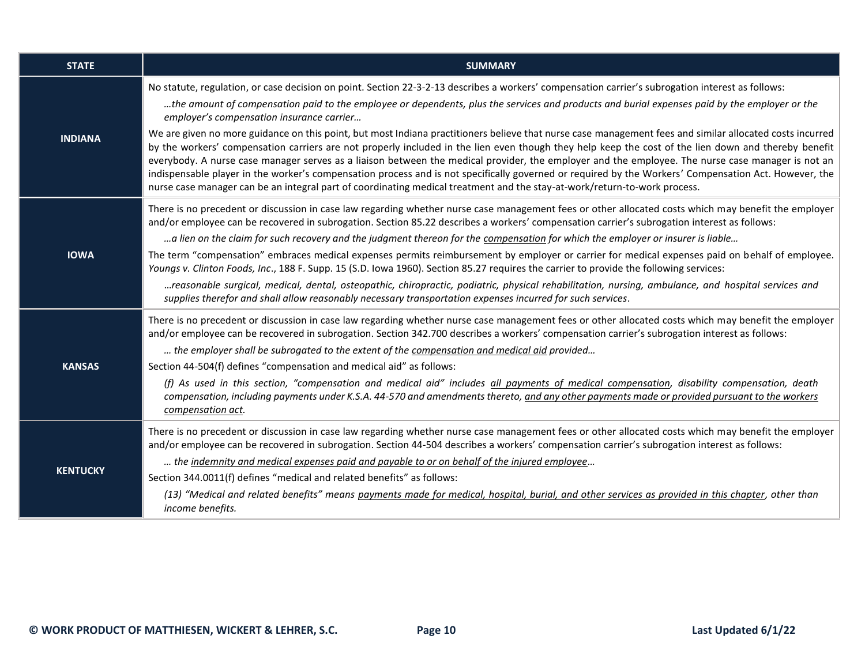| <b>STATE</b>    | <b>SUMMARY</b>                                                                                                                                                                                                                                                                                                                                                                                                                                                                                                                                                                                                                                                                                                                                              |
|-----------------|-------------------------------------------------------------------------------------------------------------------------------------------------------------------------------------------------------------------------------------------------------------------------------------------------------------------------------------------------------------------------------------------------------------------------------------------------------------------------------------------------------------------------------------------------------------------------------------------------------------------------------------------------------------------------------------------------------------------------------------------------------------|
| <b>INDIANA</b>  | No statute, regulation, or case decision on point. Section 22-3-2-13 describes a workers' compensation carrier's subrogation interest as follows:<br>the amount of compensation paid to the employee or dependents, plus the services and products and burial expenses paid by the employer or the<br>employer's compensation insurance carrier                                                                                                                                                                                                                                                                                                                                                                                                             |
|                 | We are given no more guidance on this point, but most Indiana practitioners believe that nurse case management fees and similar allocated costs incurred<br>by the workers' compensation carriers are not properly included in the lien even though they help keep the cost of the lien down and thereby benefit<br>everybody. A nurse case manager serves as a liaison between the medical provider, the employer and the employee. The nurse case manager is not an<br>indispensable player in the worker's compensation process and is not specifically governed or required by the Workers' Compensation Act. However, the<br>nurse case manager can be an integral part of coordinating medical treatment and the stay-at-work/return-to-work process. |
|                 | There is no precedent or discussion in case law regarding whether nurse case management fees or other allocated costs which may benefit the employer<br>and/or employee can be recovered in subrogation. Section 85.22 describes a workers' compensation carrier's subrogation interest as follows:                                                                                                                                                                                                                                                                                                                                                                                                                                                         |
|                 | a lien on the claim for such recovery and the judgment thereon for the compensation for which the employer or insurer is liable                                                                                                                                                                                                                                                                                                                                                                                                                                                                                                                                                                                                                             |
| <b>IOWA</b>     | The term "compensation" embraces medical expenses permits reimbursement by employer or carrier for medical expenses paid on behalf of employee.<br>Youngs v. Clinton Foods, Inc., 188 F. Supp. 15 (S.D. Iowa 1960). Section 85.27 requires the carrier to provide the following services:                                                                                                                                                                                                                                                                                                                                                                                                                                                                   |
|                 | reasonable surgical, medical, dental, osteopathic, chiropractic, podiatric, physical rehabilitation, nursing, ambulance, and hospital services and<br>supplies therefor and shall allow reasonably necessary transportation expenses incurred for such services.                                                                                                                                                                                                                                                                                                                                                                                                                                                                                            |
|                 | There is no precedent or discussion in case law regarding whether nurse case management fees or other allocated costs which may benefit the employer<br>and/or employee can be recovered in subrogation. Section 342.700 describes a workers' compensation carrier's subrogation interest as follows:                                                                                                                                                                                                                                                                                                                                                                                                                                                       |
|                 | the employer shall be subrogated to the extent of the compensation and medical aid provided                                                                                                                                                                                                                                                                                                                                                                                                                                                                                                                                                                                                                                                                 |
| <b>KANSAS</b>   | Section 44-504(f) defines "compensation and medical aid" as follows:                                                                                                                                                                                                                                                                                                                                                                                                                                                                                                                                                                                                                                                                                        |
|                 | (f) As used in this section, "compensation and medical aid" includes all payments of medical compensation, disability compensation, death<br>compensation, including payments under K.S.A. 44-570 and amendments thereto, and any other payments made or provided pursuant to the workers<br>compensation act.                                                                                                                                                                                                                                                                                                                                                                                                                                              |
|                 | There is no precedent or discussion in case law regarding whether nurse case management fees or other allocated costs which may benefit the employer<br>and/or employee can be recovered in subrogation. Section 44-504 describes a workers' compensation carrier's subrogation interest as follows:                                                                                                                                                                                                                                                                                                                                                                                                                                                        |
|                 | the indemnity and medical expenses paid and payable to or on behalf of the injured employee                                                                                                                                                                                                                                                                                                                                                                                                                                                                                                                                                                                                                                                                 |
| <b>KENTUCKY</b> | Section 344.0011(f) defines "medical and related benefits" as follows:                                                                                                                                                                                                                                                                                                                                                                                                                                                                                                                                                                                                                                                                                      |
|                 | (13) "Medical and related benefits" means payments made for medical, hospital, burial, and other services as provided in this chapter, other than<br>income benefits.                                                                                                                                                                                                                                                                                                                                                                                                                                                                                                                                                                                       |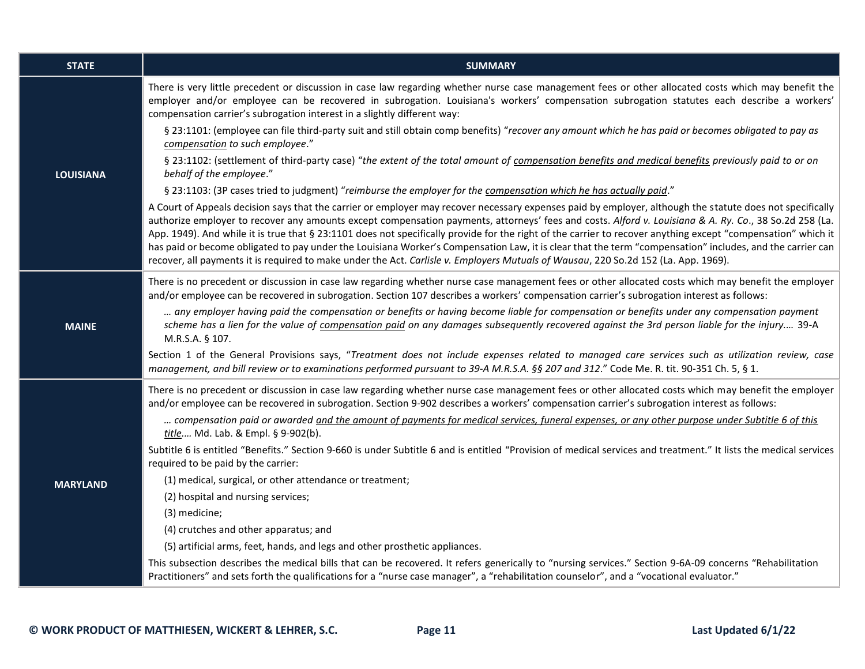| <b>STATE</b>     | <b>SUMMARY</b>                                                                                                                                                                                                                                                                                                                                                                                                                                                                                                                                                                                                                                                                                                                                                                           |
|------------------|------------------------------------------------------------------------------------------------------------------------------------------------------------------------------------------------------------------------------------------------------------------------------------------------------------------------------------------------------------------------------------------------------------------------------------------------------------------------------------------------------------------------------------------------------------------------------------------------------------------------------------------------------------------------------------------------------------------------------------------------------------------------------------------|
|                  | There is very little precedent or discussion in case law regarding whether nurse case management fees or other allocated costs which may benefit the<br>employer and/or employee can be recovered in subrogation. Louisiana's workers' compensation subrogation statutes each describe a workers'<br>compensation carrier's subrogation interest in a slightly different way:                                                                                                                                                                                                                                                                                                                                                                                                            |
|                  | § 23:1101: (employee can file third-party suit and still obtain comp benefits) "recover any amount which he has paid or becomes obligated to pay as<br>compensation to such employee."                                                                                                                                                                                                                                                                                                                                                                                                                                                                                                                                                                                                   |
| <b>LOUISIANA</b> | § 23:1102: (settlement of third-party case) "the extent of the total amount of compensation benefits and medical benefits previously paid to or on<br>behalf of the employee."                                                                                                                                                                                                                                                                                                                                                                                                                                                                                                                                                                                                           |
|                  | § 23:1103: (3P cases tried to judgment) "reimburse the employer for the compensation which he has actually paid."                                                                                                                                                                                                                                                                                                                                                                                                                                                                                                                                                                                                                                                                        |
|                  | A Court of Appeals decision says that the carrier or employer may recover necessary expenses paid by employer, although the statute does not specifically<br>authorize employer to recover any amounts except compensation payments, attorneys' fees and costs. Alford v. Louisiana & A. Ry. Co., 38 So.2d 258 (La.<br>App. 1949). And while it is true that § 23:1101 does not specifically provide for the right of the carrier to recover anything except "compensation" which it<br>has paid or become obligated to pay under the Louisiana Worker's Compensation Law, it is clear that the term "compensation" includes, and the carrier can<br>recover, all payments it is required to make under the Act. Carlisle v. Employers Mutuals of Wausau, 220 So.2d 152 (La. App. 1969). |
|                  | There is no precedent or discussion in case law regarding whether nurse case management fees or other allocated costs which may benefit the employer<br>and/or employee can be recovered in subrogation. Section 107 describes a workers' compensation carrier's subrogation interest as follows:                                                                                                                                                                                                                                                                                                                                                                                                                                                                                        |
| <b>MAINE</b>     | any employer having paid the compensation or benefits or having become liable for compensation or benefits under any compensation payment<br>scheme has a lien for the value of compensation paid on any damages subsequently recovered against the 3rd person liable for the injury 39-A<br>M.R.S.A. § 107.                                                                                                                                                                                                                                                                                                                                                                                                                                                                             |
|                  | Section 1 of the General Provisions says, "Treatment does not include expenses related to managed care services such as utilization review, case<br>management, and bill review or to examinations performed pursuant to 39-A M.R.S.A. §§ 207 and 312." Code Me. R. tit. 90-351 Ch. 5, § 1.                                                                                                                                                                                                                                                                                                                                                                                                                                                                                              |
|                  | There is no precedent or discussion in case law regarding whether nurse case management fees or other allocated costs which may benefit the employer<br>and/or employee can be recovered in subrogation. Section 9-902 describes a workers' compensation carrier's subrogation interest as follows:                                                                                                                                                                                                                                                                                                                                                                                                                                                                                      |
|                  | compensation paid or awarded and the amount of payments for medical services, funeral expenses, or any other purpose under Subtitle 6 of this<br>title Md. Lab. & Empl. § 9-902(b).                                                                                                                                                                                                                                                                                                                                                                                                                                                                                                                                                                                                      |
|                  | Subtitle 6 is entitled "Benefits." Section 9-660 is under Subtitle 6 and is entitled "Provision of medical services and treatment." It lists the medical services<br>required to be paid by the carrier:                                                                                                                                                                                                                                                                                                                                                                                                                                                                                                                                                                                 |
| <b>MARYLAND</b>  | (1) medical, surgical, or other attendance or treatment;                                                                                                                                                                                                                                                                                                                                                                                                                                                                                                                                                                                                                                                                                                                                 |
|                  | (2) hospital and nursing services;                                                                                                                                                                                                                                                                                                                                                                                                                                                                                                                                                                                                                                                                                                                                                       |
|                  | (3) medicine;                                                                                                                                                                                                                                                                                                                                                                                                                                                                                                                                                                                                                                                                                                                                                                            |
|                  | (4) crutches and other apparatus; and                                                                                                                                                                                                                                                                                                                                                                                                                                                                                                                                                                                                                                                                                                                                                    |
|                  | (5) artificial arms, feet, hands, and legs and other prosthetic appliances.                                                                                                                                                                                                                                                                                                                                                                                                                                                                                                                                                                                                                                                                                                              |
|                  | This subsection describes the medical bills that can be recovered. It refers generically to "nursing services." Section 9-6A-09 concerns "Rehabilitation<br>Practitioners" and sets forth the qualifications for a "nurse case manager", a "rehabilitation counselor", and a "vocational evaluator."                                                                                                                                                                                                                                                                                                                                                                                                                                                                                     |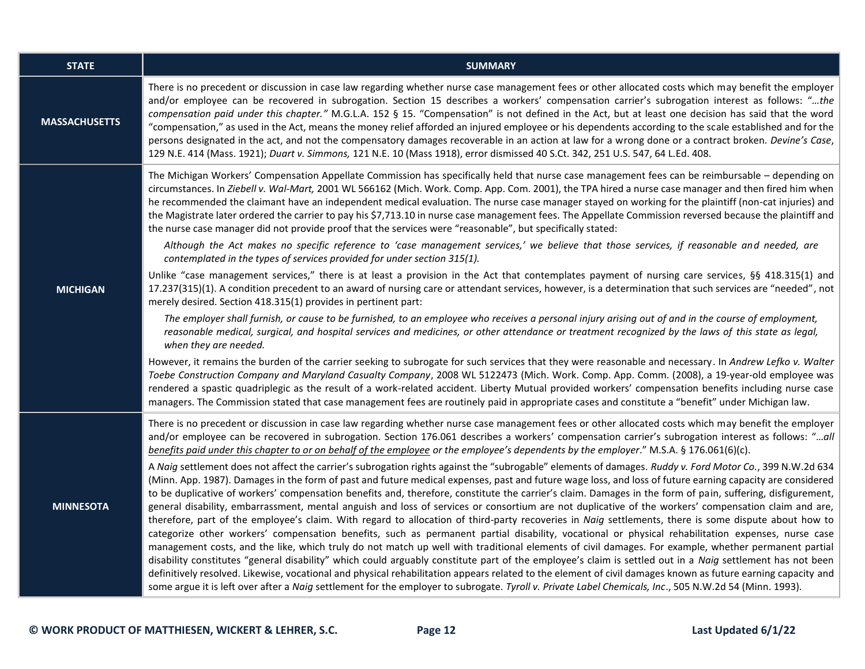| <b>STATE</b>         | <b>SUMMARY</b>                                                                                                                                                                                                                                                                                                                                                                                                                                                                                                                                                                                                                                                                                                                                                                                                                                                                                                                                                                                                                                                                                                                                                                                                                                                                                                                                                                                                                                                                                                                                                                                                                                                                                                                                                                                                                                                                                                                                                                                                                                                                                                                                                                                                                                                                                                        |
|----------------------|-----------------------------------------------------------------------------------------------------------------------------------------------------------------------------------------------------------------------------------------------------------------------------------------------------------------------------------------------------------------------------------------------------------------------------------------------------------------------------------------------------------------------------------------------------------------------------------------------------------------------------------------------------------------------------------------------------------------------------------------------------------------------------------------------------------------------------------------------------------------------------------------------------------------------------------------------------------------------------------------------------------------------------------------------------------------------------------------------------------------------------------------------------------------------------------------------------------------------------------------------------------------------------------------------------------------------------------------------------------------------------------------------------------------------------------------------------------------------------------------------------------------------------------------------------------------------------------------------------------------------------------------------------------------------------------------------------------------------------------------------------------------------------------------------------------------------------------------------------------------------------------------------------------------------------------------------------------------------------------------------------------------------------------------------------------------------------------------------------------------------------------------------------------------------------------------------------------------------------------------------------------------------------------------------------------------------|
| <b>MASSACHUSETTS</b> | There is no precedent or discussion in case law regarding whether nurse case management fees or other allocated costs which may benefit the employer<br>and/or employee can be recovered in subrogation. Section 15 describes a workers' compensation carrier's subrogation interest as follows: "the<br>compensation paid under this chapter." M.G.L.A. 152 § 15. "Compensation" is not defined in the Act, but at least one decision has said that the word<br>"compensation," as used in the Act, means the money relief afforded an injured employee or his dependents according to the scale established and for the<br>persons designated in the act, and not the compensatory damages recoverable in an action at law for a wrong done or a contract broken. Devine's Case,<br>129 N.E. 414 (Mass. 1921); Duart v. Simmons, 121 N.E. 10 (Mass 1918), error dismissed 40 S.Ct. 342, 251 U.S. 547, 64 L.Ed. 408.                                                                                                                                                                                                                                                                                                                                                                                                                                                                                                                                                                                                                                                                                                                                                                                                                                                                                                                                                                                                                                                                                                                                                                                                                                                                                                                                                                                                 |
| <b>MICHIGAN</b>      | The Michigan Workers' Compensation Appellate Commission has specifically held that nurse case management fees can be reimbursable - depending on<br>circumstances. In Ziebell v. Wal-Mart, 2001 WL 566162 (Mich. Work. Comp. App. Com. 2001), the TPA hired a nurse case manager and then fired him when<br>he recommended the claimant have an independent medical evaluation. The nurse case manager stayed on working for the plaintiff (non-cat injuries) and<br>the Magistrate later ordered the carrier to pay his \$7,713.10 in nurse case management fees. The Appellate Commission reversed because the plaintiff and<br>the nurse case manager did not provide proof that the services were "reasonable", but specifically stated:<br>Although the Act makes no specific reference to 'case management services,' we believe that those services, if reasonable and needed, are<br>contemplated in the types of services provided for under section 315(1).<br>Unlike "case management services," there is at least a provision in the Act that contemplates payment of nursing care services, §§ 418.315(1) and<br>17.237(315)(1). A condition precedent to an award of nursing care or attendant services, however, is a determination that such services are "needed", not<br>merely desired. Section 418.315(1) provides in pertinent part:<br>The employer shall furnish, or cause to be furnished, to an employee who receives a personal injury arising out of and in the course of employment,<br>reasonable medical, surgical, and hospital services and medicines, or other attendance or treatment recognized by the laws of this state as legal,<br>when they are needed.<br>However, it remains the burden of the carrier seeking to subrogate for such services that they were reasonable and necessary. In Andrew Lefko v. Walter<br>Toebe Construction Company and Maryland Casualty Company, 2008 WL 5122473 (Mich. Work. Comp. App. Comm. (2008), a 19-year-old employee was<br>rendered a spastic quadriplegic as the result of a work-related accident. Liberty Mutual provided workers' compensation benefits including nurse case<br>managers. The Commission stated that case management fees are routinely paid in appropriate cases and constitute a "benefit" under Michigan law. |
| <b>MINNESOTA</b>     | There is no precedent or discussion in case law regarding whether nurse case management fees or other allocated costs which may benefit the employer<br>and/or employee can be recovered in subrogation. Section 176.061 describes a workers' compensation carrier's subrogation interest as follows: "all<br>benefits paid under this chapter to or on behalf of the employee or the employee's dependents by the employer." M.S.A. § 176.061(6)(c).<br>A Naig settlement does not affect the carrier's subrogation rights against the "subrogable" elements of damages. Ruddy v. Ford Motor Co., 399 N.W.2d 634<br>(Minn. App. 1987). Damages in the form of past and future medical expenses, past and future wage loss, and loss of future earning capacity are considered<br>to be duplicative of workers' compensation benefits and, therefore, constitute the carrier's claim. Damages in the form of pain, suffering, disfigurement,<br>general disability, embarrassment, mental anguish and loss of services or consortium are not duplicative of the workers' compensation claim and are,<br>therefore, part of the employee's claim. With regard to allocation of third-party recoveries in Naig settlements, there is some dispute about how to<br>categorize other workers' compensation benefits, such as permanent partial disability, vocational or physical rehabilitation expenses, nurse case<br>management costs, and the like, which truly do not match up well with traditional elements of civil damages. For example, whether permanent partial<br>disability constitutes "general disability" which could arguably constitute part of the employee's claim is settled out in a Naig settlement has not been<br>definitively resolved. Likewise, vocational and physical rehabilitation appears related to the element of civil damages known as future earning capacity and<br>some argue it is left over after a Naig settlement for the employer to subrogate. Tyroll v. Private Label Chemicals, Inc., 505 N.W.2d 54 (Minn. 1993).                                                                                                                                                                                                                                                       |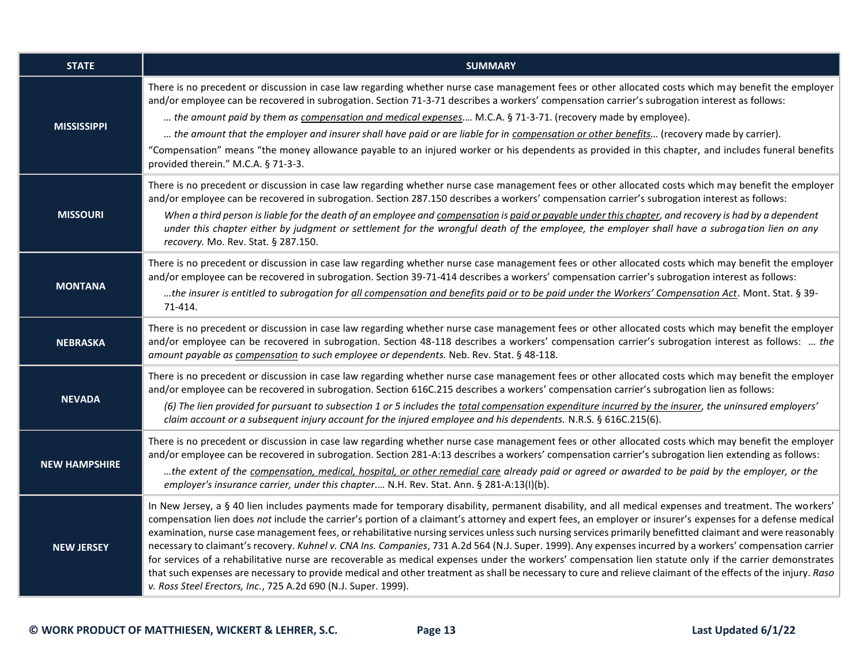| <b>STATE</b>         | <b>SUMMARY</b>                                                                                                                                                                                                                                                                                                                                                                                                                                                                                                                                                                                                                                                                                                                                                                                                                                                                                                                                                                                                                                 |
|----------------------|------------------------------------------------------------------------------------------------------------------------------------------------------------------------------------------------------------------------------------------------------------------------------------------------------------------------------------------------------------------------------------------------------------------------------------------------------------------------------------------------------------------------------------------------------------------------------------------------------------------------------------------------------------------------------------------------------------------------------------------------------------------------------------------------------------------------------------------------------------------------------------------------------------------------------------------------------------------------------------------------------------------------------------------------|
| <b>MISSISSIPPI</b>   | There is no precedent or discussion in case law regarding whether nurse case management fees or other allocated costs which may benefit the employer<br>and/or employee can be recovered in subrogation. Section 71-3-71 describes a workers' compensation carrier's subrogation interest as follows:<br>the amount paid by them as compensation and medical expenses M.C.A. § 71-3-71. (recovery made by employee).<br>the amount that the employer and insurer shall have paid or are liable for in compensation or other benefits (recovery made by carrier).<br>"Compensation" means "the money allowance payable to an injured worker or his dependents as provided in this chapter, and includes funeral benefits<br>provided therein." M.C.A. § 71-3-3.                                                                                                                                                                                                                                                                                 |
| <b>MISSOURI</b>      | There is no precedent or discussion in case law regarding whether nurse case management fees or other allocated costs which may benefit the employer<br>and/or employee can be recovered in subrogation. Section 287.150 describes a workers' compensation carrier's subrogation interest as follows:<br>When a third person is liable for the death of an employee and compensation is paid or payable under this chapter, and recovery is had by a dependent<br>under this chapter either by judgment or settlement for the wrongful death of the employee, the employer shall have a subrogation lien on any<br>recovery. Mo. Rev. Stat. § 287.150.                                                                                                                                                                                                                                                                                                                                                                                         |
| <b>MONTANA</b>       | There is no precedent or discussion in case law regarding whether nurse case management fees or other allocated costs which may benefit the employer<br>and/or employee can be recovered in subrogation. Section 39-71-414 describes a workers' compensation carrier's subrogation interest as follows:<br>the insurer is entitled to subrogation for all compensation and benefits paid or to be paid under the Workers' Compensation Act. Mont. Stat. § 39-<br>71-414.                                                                                                                                                                                                                                                                                                                                                                                                                                                                                                                                                                       |
| <b>NEBRASKA</b>      | There is no precedent or discussion in case law regarding whether nurse case management fees or other allocated costs which may benefit the employer<br>and/or employee can be recovered in subrogation. Section 48-118 describes a workers' compensation carrier's subrogation interest as follows:  the<br>amount payable as compensation to such employee or dependents. Neb. Rev. Stat. § 48-118.                                                                                                                                                                                                                                                                                                                                                                                                                                                                                                                                                                                                                                          |
| <b>NEVADA</b>        | There is no precedent or discussion in case law regarding whether nurse case management fees or other allocated costs which may benefit the employer<br>and/or employee can be recovered in subrogation. Section 616C.215 describes a workers' compensation carrier's subrogation lien as follows:<br>(6) The lien provided for pursuant to subsection 1 or 5 includes the total compensation expenditure incurred by the insurer, the uninsured employers'<br>claim account or a subsequent injury account for the injured employee and his dependents. N.R.S. § 616C.215(6).                                                                                                                                                                                                                                                                                                                                                                                                                                                                 |
| <b>NEW HAMPSHIRE</b> | There is no precedent or discussion in case law regarding whether nurse case management fees or other allocated costs which may benefit the employer<br>and/or employee can be recovered in subrogation. Section 281-A:13 describes a workers' compensation carrier's subrogation lien extending as follows:<br>the extent of the compensation, medical, hospital, or other remedial care already paid or agreed or awarded to be paid by the employer, or the<br>employer's insurance carrier, under this chapter N.H. Rev. Stat. Ann. § 281-A:13(I)(b).                                                                                                                                                                                                                                                                                                                                                                                                                                                                                      |
| <b>NEW JERSEY</b>    | In New Jersey, a § 40 lien includes payments made for temporary disability, permanent disability, and all medical expenses and treatment. The workers'<br>compensation lien does not include the carrier's portion of a claimant's attorney and expert fees, an employer or insurer's expenses for a defense medical<br>examination, nurse case management fees, or rehabilitative nursing services unless such nursing services primarily benefitted claimant and were reasonably<br>necessary to claimant's recovery. Kuhnel v. CNA Ins. Companies, 731 A.2d 564 (N.J. Super. 1999). Any expenses incurred by a workers' compensation carrier<br>for services of a rehabilitative nurse are recoverable as medical expenses under the workers' compensation lien statute only if the carrier demonstrates<br>that such expenses are necessary to provide medical and other treatment as shall be necessary to cure and relieve claimant of the effects of the injury. Raso<br>v. Ross Steel Erectors, Inc., 725 A.2d 690 (N.J. Super. 1999). |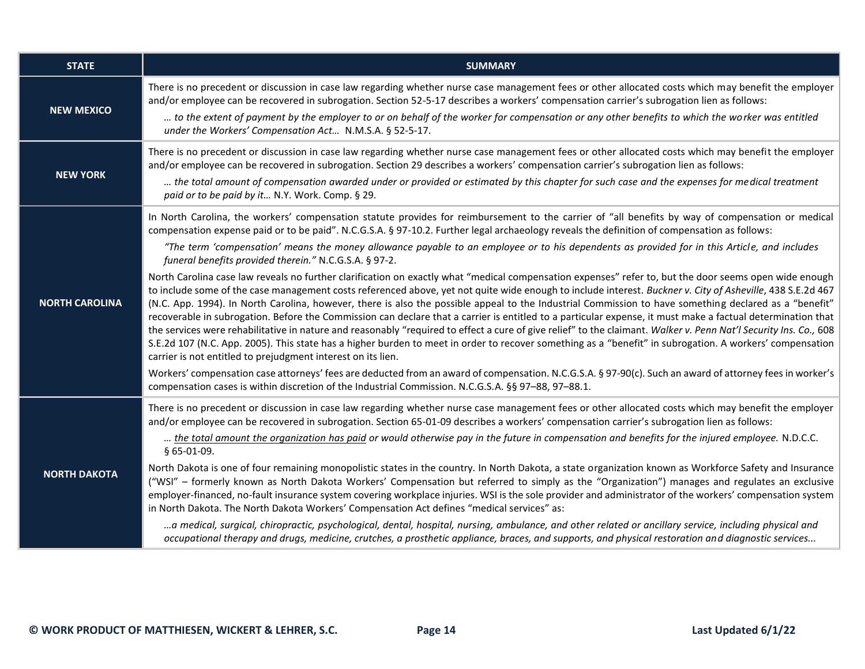| <b>STATE</b>          | <b>SUMMARY</b>                                                                                                                                                                                                                                                                                                                                                                                                                                                                                                                                                                                                                                                                                                                                                                                                                                                                                                                                                                                                                                 |
|-----------------------|------------------------------------------------------------------------------------------------------------------------------------------------------------------------------------------------------------------------------------------------------------------------------------------------------------------------------------------------------------------------------------------------------------------------------------------------------------------------------------------------------------------------------------------------------------------------------------------------------------------------------------------------------------------------------------------------------------------------------------------------------------------------------------------------------------------------------------------------------------------------------------------------------------------------------------------------------------------------------------------------------------------------------------------------|
| <b>NEW MEXICO</b>     | There is no precedent or discussion in case law regarding whether nurse case management fees or other allocated costs which may benefit the employer<br>and/or employee can be recovered in subrogation. Section 52-5-17 describes a workers' compensation carrier's subrogation lien as follows:<br>to the extent of payment by the employer to or on behalf of the worker for compensation or any other benefits to which the worker was entitled                                                                                                                                                                                                                                                                                                                                                                                                                                                                                                                                                                                            |
|                       | under the Workers' Compensation Act N.M.S.A. § 52-5-17.                                                                                                                                                                                                                                                                                                                                                                                                                                                                                                                                                                                                                                                                                                                                                                                                                                                                                                                                                                                        |
| <b>NEW YORK</b>       | There is no precedent or discussion in case law regarding whether nurse case management fees or other allocated costs which may benefit the employer<br>and/or employee can be recovered in subrogation. Section 29 describes a workers' compensation carrier's subrogation lien as follows:                                                                                                                                                                                                                                                                                                                                                                                                                                                                                                                                                                                                                                                                                                                                                   |
|                       | the total amount of compensation awarded under or provided or estimated by this chapter for such case and the expenses for medical treatment<br>paid or to be paid by it N.Y. Work. Comp. § 29.                                                                                                                                                                                                                                                                                                                                                                                                                                                                                                                                                                                                                                                                                                                                                                                                                                                |
| <b>NORTH CAROLINA</b> | In North Carolina, the workers' compensation statute provides for reimbursement to the carrier of "all benefits by way of compensation or medical<br>compensation expense paid or to be paid". N.C.G.S.A. § 97-10.2. Further legal archaeology reveals the definition of compensation as follows:                                                                                                                                                                                                                                                                                                                                                                                                                                                                                                                                                                                                                                                                                                                                              |
|                       | "The term 'compensation' means the money allowance payable to an employee or to his dependents as provided for in this Article, and includes<br>funeral benefits provided therein." N.C.G.S.A. § 97-2.                                                                                                                                                                                                                                                                                                                                                                                                                                                                                                                                                                                                                                                                                                                                                                                                                                         |
|                       | North Carolina case law reveals no further clarification on exactly what "medical compensation expenses" refer to, but the door seems open wide enough<br>to include some of the case management costs referenced above, yet not quite wide enough to include interest. Buckner v. City of Asheville, 438 S.E.2d 467<br>(N.C. App. 1994). In North Carolina, however, there is also the possible appeal to the Industrial Commission to have something declared as a "benefit"<br>recoverable in subrogation. Before the Commission can declare that a carrier is entitled to a particular expense, it must make a factual determination that<br>the services were rehabilitative in nature and reasonably "required to effect a cure of give relief" to the claimant. Walker v. Penn Nat'l Security Ins. Co., 608<br>S.E.2d 107 (N.C. App. 2005). This state has a higher burden to meet in order to recover something as a "benefit" in subrogation. A workers' compensation<br>carrier is not entitled to prejudgment interest on its lien. |
|                       | Workers' compensation case attorneys' fees are deducted from an award of compensation. N.C.G.S.A. § 97-90(c). Such an award of attorney fees in worker's<br>compensation cases is within discretion of the Industrial Commission. N.C.G.S.A. §§ 97-88, 97-88.1.                                                                                                                                                                                                                                                                                                                                                                                                                                                                                                                                                                                                                                                                                                                                                                                |
| <b>NORTH DAKOTA</b>   | There is no precedent or discussion in case law regarding whether nurse case management fees or other allocated costs which may benefit the employer<br>and/or employee can be recovered in subrogation. Section 65-01-09 describes a workers' compensation carrier's subrogation lien as follows:                                                                                                                                                                                                                                                                                                                                                                                                                                                                                                                                                                                                                                                                                                                                             |
|                       | the total amount the organization has paid or would otherwise pay in the future in compensation and benefits for the injured employee. N.D.C.C.<br>§ 65-01-09.                                                                                                                                                                                                                                                                                                                                                                                                                                                                                                                                                                                                                                                                                                                                                                                                                                                                                 |
|                       | North Dakota is one of four remaining monopolistic states in the country. In North Dakota, a state organization known as Workforce Safety and Insurance<br>("WSI" - formerly known as North Dakota Workers' Compensation but referred to simply as the "Organization") manages and regulates an exclusive<br>employer-financed, no-fault insurance system covering workplace injuries. WSI is the sole provider and administrator of the workers' compensation system<br>in North Dakota. The North Dakota Workers' Compensation Act defines "medical services" as:                                                                                                                                                                                                                                                                                                                                                                                                                                                                            |
|                       | a medical, surgical, chiropractic, psychological, dental, hospital, nursing, ambulance, and other related or ancillary service, including physical and<br>occupational therapy and drugs, medicine, crutches, a prosthetic appliance, braces, and supports, and physical restoration and diagnostic services                                                                                                                                                                                                                                                                                                                                                                                                                                                                                                                                                                                                                                                                                                                                   |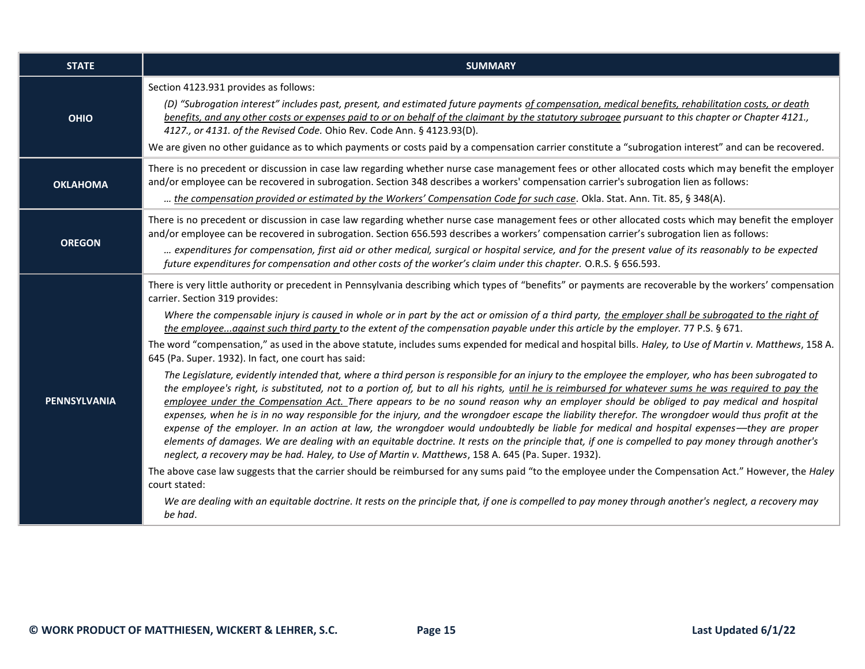| <b>STATE</b>        | <b>SUMMARY</b>                                                                                                                                                                                                                                                                                                                                                                                                                                                                                                                                                                                                                                                                                                                                                                                                                                                                                                                                                                                                                                                                                                                                                                                                                                                                                                                                                                                                                                                                                                                                                                                                                                                                                                                                                                                                                                                                                                                                                                                                                                                                      |
|---------------------|-------------------------------------------------------------------------------------------------------------------------------------------------------------------------------------------------------------------------------------------------------------------------------------------------------------------------------------------------------------------------------------------------------------------------------------------------------------------------------------------------------------------------------------------------------------------------------------------------------------------------------------------------------------------------------------------------------------------------------------------------------------------------------------------------------------------------------------------------------------------------------------------------------------------------------------------------------------------------------------------------------------------------------------------------------------------------------------------------------------------------------------------------------------------------------------------------------------------------------------------------------------------------------------------------------------------------------------------------------------------------------------------------------------------------------------------------------------------------------------------------------------------------------------------------------------------------------------------------------------------------------------------------------------------------------------------------------------------------------------------------------------------------------------------------------------------------------------------------------------------------------------------------------------------------------------------------------------------------------------------------------------------------------------------------------------------------------------|
| <b>OHIO</b>         | Section 4123.931 provides as follows:<br>(D) "Subrogation interest" includes past, present, and estimated future payments of compensation, medical benefits, rehabilitation costs, or death<br>benefits, and any other costs or expenses paid to or on behalf of the claimant by the statutory subrogee pursuant to this chapter or Chapter 4121.,<br>4127., or 4131. of the Revised Code. Ohio Rev. Code Ann. § 4123.93(D).<br>We are given no other guidance as to which payments or costs paid by a compensation carrier constitute a "subrogation interest" and can be recovered.                                                                                                                                                                                                                                                                                                                                                                                                                                                                                                                                                                                                                                                                                                                                                                                                                                                                                                                                                                                                                                                                                                                                                                                                                                                                                                                                                                                                                                                                                               |
| <b>OKLAHOMA</b>     | There is no precedent or discussion in case law regarding whether nurse case management fees or other allocated costs which may benefit the employer<br>and/or employee can be recovered in subrogation. Section 348 describes a workers' compensation carrier's subrogation lien as follows:<br>the compensation provided or estimated by the Workers' Compensation Code for such case. Okla. Stat. Ann. Tit. 85, § 348(A).                                                                                                                                                                                                                                                                                                                                                                                                                                                                                                                                                                                                                                                                                                                                                                                                                                                                                                                                                                                                                                                                                                                                                                                                                                                                                                                                                                                                                                                                                                                                                                                                                                                        |
| <b>OREGON</b>       | There is no precedent or discussion in case law regarding whether nurse case management fees or other allocated costs which may benefit the employer<br>and/or employee can be recovered in subrogation. Section 656.593 describes a workers' compensation carrier's subrogation lien as follows:<br>expenditures for compensation, first aid or other medical, surgical or hospital service, and for the present value of its reasonably to be expected<br>future expenditures for compensation and other costs of the worker's claim under this chapter. O.R.S. § 656.593.                                                                                                                                                                                                                                                                                                                                                                                                                                                                                                                                                                                                                                                                                                                                                                                                                                                                                                                                                                                                                                                                                                                                                                                                                                                                                                                                                                                                                                                                                                        |
| <b>PENNSYLVANIA</b> | There is very little authority or precedent in Pennsylvania describing which types of "benefits" or payments are recoverable by the workers' compensation<br>carrier. Section 319 provides:<br>Where the compensable injury is caused in whole or in part by the act or omission of a third party, the employer shall be subrogated to the right of<br>the employeeagainst such third party to the extent of the compensation payable under this article by the employer. 77 P.S. § 671.<br>The word "compensation," as used in the above statute, includes sums expended for medical and hospital bills. Haley, to Use of Martin v. Matthews, 158 A.<br>645 (Pa. Super. 1932). In fact, one court has said:<br>The Legislature, evidently intended that, where a third person is responsible for an injury to the employee the employer, who has been subrogated to<br>the employee's right, is substituted, not to a portion of, but to all his rights, until he is reimbursed for whatever sums he was required to pay the<br>employee under the Compensation Act. There appears to be no sound reason why an employer should be obliged to pay medical and hospital<br>expenses, when he is in no way responsible for the injury, and the wrongdoer escape the liability therefor. The wrongdoer would thus profit at the<br>expense of the employer. In an action at law, the wrongdoer would undoubtedly be liable for medical and hospital expenses—they are proper<br>elements of damages. We are dealing with an equitable doctrine. It rests on the principle that, if one is compelled to pay money through another's<br>neglect, a recovery may be had. Haley, to Use of Martin v. Matthews, 158 A. 645 (Pa. Super. 1932).<br>The above case law suggests that the carrier should be reimbursed for any sums paid "to the employee under the Compensation Act." However, the Haley<br>court stated:<br>We are dealing with an equitable doctrine. It rests on the principle that, if one is compelled to pay money through another's neglect, a recovery may<br>be had. |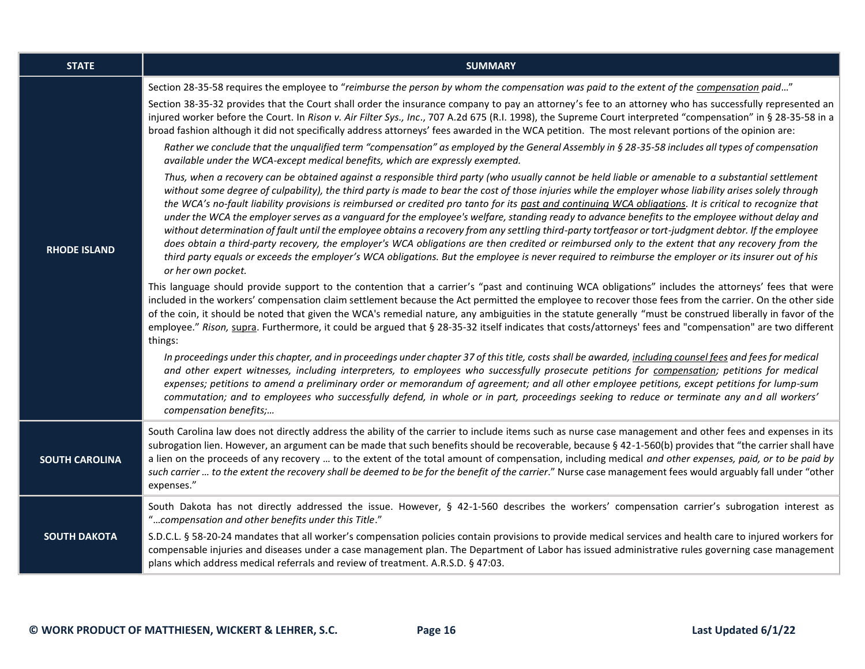| <b>STATE</b>          | <b>SUMMARY</b>                                                                                                                                                                                                                                                                                                                                                                                                                                                                                                                                                                                                                                                                                                                                                                                                                                                                                                                                                                                                                                                                                                                                                                                                                                                                                                                                                                                                                                                                                                                                                                                                                                                                                                                                                                                                                                                                                                                                                                                                                                                                                                                                                                                                                                                                                                                                                                                                                                                                                                                                                                                                                                                                                                                                                                                                                                                                                                                                                                                                                                                                                                          |
|-----------------------|-------------------------------------------------------------------------------------------------------------------------------------------------------------------------------------------------------------------------------------------------------------------------------------------------------------------------------------------------------------------------------------------------------------------------------------------------------------------------------------------------------------------------------------------------------------------------------------------------------------------------------------------------------------------------------------------------------------------------------------------------------------------------------------------------------------------------------------------------------------------------------------------------------------------------------------------------------------------------------------------------------------------------------------------------------------------------------------------------------------------------------------------------------------------------------------------------------------------------------------------------------------------------------------------------------------------------------------------------------------------------------------------------------------------------------------------------------------------------------------------------------------------------------------------------------------------------------------------------------------------------------------------------------------------------------------------------------------------------------------------------------------------------------------------------------------------------------------------------------------------------------------------------------------------------------------------------------------------------------------------------------------------------------------------------------------------------------------------------------------------------------------------------------------------------------------------------------------------------------------------------------------------------------------------------------------------------------------------------------------------------------------------------------------------------------------------------------------------------------------------------------------------------------------------------------------------------------------------------------------------------------------------------------------------------------------------------------------------------------------------------------------------------------------------------------------------------------------------------------------------------------------------------------------------------------------------------------------------------------------------------------------------------------------------------------------------------------------------------------------------------|
| <b>RHODE ISLAND</b>   | Section 28-35-58 requires the employee to "reimburse the person by whom the compensation was paid to the extent of the compensation paid"<br>Section 38-35-32 provides that the Court shall order the insurance company to pay an attorney's fee to an attorney who has successfully represented an<br>injured worker before the Court. In Rison v. Air Filter Sys., Inc., 707 A.2d 675 (R.I. 1998), the Supreme Court interpreted "compensation" in § 28-35-58 in a<br>broad fashion although it did not specifically address attorneys' fees awarded in the WCA petition. The most relevant portions of the opinion are:<br>Rather we conclude that the unqualified term "compensation" as employed by the General Assembly in § 28-35-58 includes all types of compensation<br>available under the WCA-except medical benefits, which are expressly exempted.<br>Thus, when a recovery can be obtained against a responsible third party (who usually cannot be held liable or amenable to a substantial settlement<br>without some degree of culpability), the third party is made to bear the cost of those injuries while the employer whose liability arises solely through<br>the WCA's no-fault liability provisions is reimbursed or credited pro tanto for its past and continuing WCA obligations. It is critical to recognize that<br>under the WCA the employer serves as a vanguard for the employee's welfare, standing ready to advance benefits to the employee without delay and<br>without determination of fault until the employee obtains a recovery from any settling third-party tortfeasor or tort-judgment debtor. If the employee<br>does obtain a third-party recovery, the employer's WCA obligations are then credited or reimbursed only to the extent that any recovery from the<br>third party equals or exceeds the employer's WCA obligations. But the employee is never required to reimburse the employer or its insurer out of his<br>or her own pocket.<br>This language should provide support to the contention that a carrier's "past and continuing WCA obligations" includes the attorneys' fees that were<br>included in the workers' compensation claim settlement because the Act permitted the employee to recover those fees from the carrier. On the other side<br>of the coin, it should be noted that given the WCA's remedial nature, any ambiguities in the statute generally "must be construed liberally in favor of the<br>employee." Rison, supra. Furthermore, it could be argued that § 28-35-32 itself indicates that costs/attorneys' fees and "compensation" are two different<br>things:<br>In proceedings under this chapter, and in proceedings under chapter 37 of this title, costs shall be awarded, including counsel fees and fees for medical<br>and other expert witnesses, including interpreters, to employees who successfully prosecute petitions for compensation; petitions for medical<br>expenses; petitions to amend a preliminary order or memorandum of agreement; and all other employee petitions, except petitions for lump-sum |
|                       | commutation; and to employees who successfully defend, in whole or in part, proceedings seeking to reduce or terminate any and all workers'<br>compensation benefits;                                                                                                                                                                                                                                                                                                                                                                                                                                                                                                                                                                                                                                                                                                                                                                                                                                                                                                                                                                                                                                                                                                                                                                                                                                                                                                                                                                                                                                                                                                                                                                                                                                                                                                                                                                                                                                                                                                                                                                                                                                                                                                                                                                                                                                                                                                                                                                                                                                                                                                                                                                                                                                                                                                                                                                                                                                                                                                                                                   |
| <b>SOUTH CAROLINA</b> | South Carolina law does not directly address the ability of the carrier to include items such as nurse case management and other fees and expenses in its<br>subrogation lien. However, an argument can be made that such benefits should be recoverable, because § 42-1-560(b) provides that "the carrier shall have<br>a lien on the proceeds of any recovery  to the extent of the total amount of compensation, including medical and other expenses, paid, or to be paid by<br>such carrier  to the extent the recovery shall be deemed to be for the benefit of the carrier." Nurse case management fees would arguably fall under "other<br>expenses."                                                                                                                                                                                                                                                                                                                                                                                                                                                                                                                                                                                                                                                                                                                                                                                                                                                                                                                                                                                                                                                                                                                                                                                                                                                                                                                                                                                                                                                                                                                                                                                                                                                                                                                                                                                                                                                                                                                                                                                                                                                                                                                                                                                                                                                                                                                                                                                                                                                           |
| <b>SOUTH DAKOTA</b>   | South Dakota has not directly addressed the issue. However, § 42-1-560 describes the workers' compensation carrier's subrogation interest as<br>"compensation and other benefits under this Title."<br>S.D.C.L. § 58-20-24 mandates that all worker's compensation policies contain provisions to provide medical services and health care to injured workers for<br>compensable injuries and diseases under a case management plan. The Department of Labor has issued administrative rules governing case management<br>plans which address medical referrals and review of treatment. A.R.S.D. § 47:03.                                                                                                                                                                                                                                                                                                                                                                                                                                                                                                                                                                                                                                                                                                                                                                                                                                                                                                                                                                                                                                                                                                                                                                                                                                                                                                                                                                                                                                                                                                                                                                                                                                                                                                                                                                                                                                                                                                                                                                                                                                                                                                                                                                                                                                                                                                                                                                                                                                                                                                              |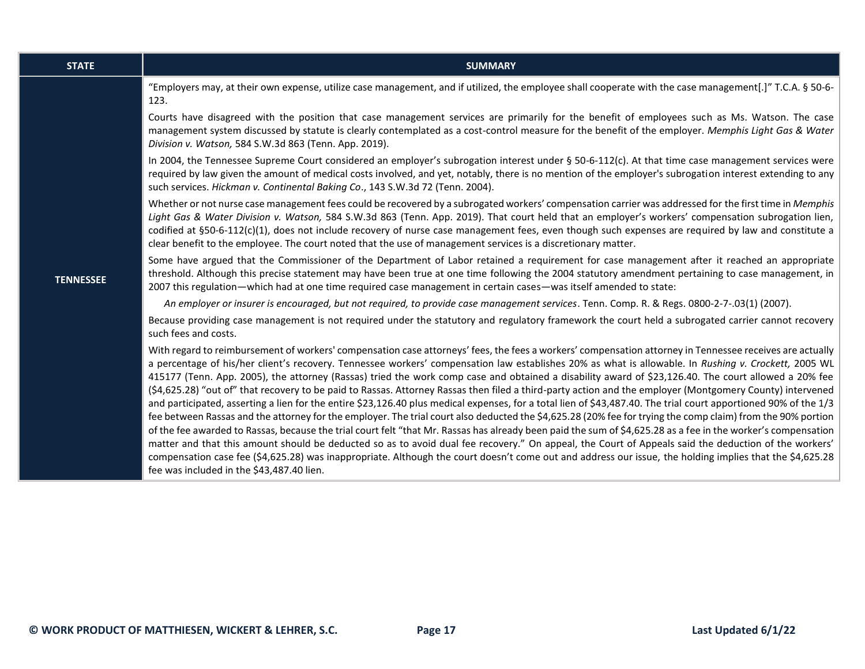| <b>STATE</b>     | <b>SUMMARY</b>                                                                                                                                                                                                                                                                                                                                                                                                                                                                                                                                                                                                                                                                                                                                                                                                                                                                                                                                                                                                                                                                                                                                                                                                                                                                                                                                                                                                                                                                                             |
|------------------|------------------------------------------------------------------------------------------------------------------------------------------------------------------------------------------------------------------------------------------------------------------------------------------------------------------------------------------------------------------------------------------------------------------------------------------------------------------------------------------------------------------------------------------------------------------------------------------------------------------------------------------------------------------------------------------------------------------------------------------------------------------------------------------------------------------------------------------------------------------------------------------------------------------------------------------------------------------------------------------------------------------------------------------------------------------------------------------------------------------------------------------------------------------------------------------------------------------------------------------------------------------------------------------------------------------------------------------------------------------------------------------------------------------------------------------------------------------------------------------------------------|
| <b>TENNESSEE</b> | "Employers may, at their own expense, utilize case management, and if utilized, the employee shall cooperate with the case management[.]" T.C.A. § 50-6-<br>123.                                                                                                                                                                                                                                                                                                                                                                                                                                                                                                                                                                                                                                                                                                                                                                                                                                                                                                                                                                                                                                                                                                                                                                                                                                                                                                                                           |
|                  | Courts have disagreed with the position that case management services are primarily for the benefit of employees such as Ms. Watson. The case<br>management system discussed by statute is clearly contemplated as a cost-control measure for the benefit of the employer. Memphis Light Gas & Water<br>Division v. Watson, 584 S.W.3d 863 (Tenn. App. 2019).                                                                                                                                                                                                                                                                                                                                                                                                                                                                                                                                                                                                                                                                                                                                                                                                                                                                                                                                                                                                                                                                                                                                              |
|                  | In 2004, the Tennessee Supreme Court considered an employer's subrogation interest under § 50-6-112(c). At that time case management services were<br>required by law given the amount of medical costs involved, and yet, notably, there is no mention of the employer's subrogation interest extending to any<br>such services. Hickman v. Continental Baking Co., 143 S.W.3d 72 (Tenn. 2004).                                                                                                                                                                                                                                                                                                                                                                                                                                                                                                                                                                                                                                                                                                                                                                                                                                                                                                                                                                                                                                                                                                           |
|                  | Whether or not nurse case management fees could be recovered by a subrogated workers' compensation carrier was addressed for the first time in Memphis<br>Light Gas & Water Division v. Watson, 584 S.W.3d 863 (Tenn. App. 2019). That court held that an employer's workers' compensation subrogation lien,<br>codified at §50-6-112(c)(1), does not include recovery of nurse case management fees, even though such expenses are required by law and constitute a<br>clear benefit to the employee. The court noted that the use of management services is a discretionary matter.                                                                                                                                                                                                                                                                                                                                                                                                                                                                                                                                                                                                                                                                                                                                                                                                                                                                                                                      |
|                  | Some have argued that the Commissioner of the Department of Labor retained a requirement for case management after it reached an appropriate<br>threshold. Although this precise statement may have been true at one time following the 2004 statutory amendment pertaining to case management, in<br>2007 this regulation—which had at one time required case management in certain cases—was itself amended to state:                                                                                                                                                                                                                                                                                                                                                                                                                                                                                                                                                                                                                                                                                                                                                                                                                                                                                                                                                                                                                                                                                    |
|                  | An employer or insurer is encouraged, but not required, to provide case management services. Tenn. Comp. R. & Regs. 0800-2-7-.03(1) (2007).                                                                                                                                                                                                                                                                                                                                                                                                                                                                                                                                                                                                                                                                                                                                                                                                                                                                                                                                                                                                                                                                                                                                                                                                                                                                                                                                                                |
|                  | Because providing case management is not required under the statutory and regulatory framework the court held a subrogated carrier cannot recovery<br>such fees and costs.                                                                                                                                                                                                                                                                                                                                                                                                                                                                                                                                                                                                                                                                                                                                                                                                                                                                                                                                                                                                                                                                                                                                                                                                                                                                                                                                 |
|                  | With regard to reimbursement of workers' compensation case attorneys' fees, the fees a workers' compensation attorney in Tennessee receives are actually<br>a percentage of his/her client's recovery. Tennessee workers' compensation law establishes 20% as what is allowable. In Rushing v. Crockett, 2005 WL<br>415177 (Tenn. App. 2005), the attorney (Rassas) tried the work comp case and obtained a disability award of \$23,126.40. The court allowed a 20% fee<br>(\$4,625.28) "out of" that recovery to be paid to Rassas. Attorney Rassas then filed a third-party action and the employer (Montgomery County) intervened<br>and participated, asserting a lien for the entire \$23,126.40 plus medical expenses, for a total lien of \$43,487.40. The trial court apportioned 90% of the 1/3<br>fee between Rassas and the attorney for the employer. The trial court also deducted the \$4,625.28 (20% fee for trying the comp claim) from the 90% portion<br>of the fee awarded to Rassas, because the trial court felt "that Mr. Rassas has already been paid the sum of \$4,625.28 as a fee in the worker's compensation<br>matter and that this amount should be deducted so as to avoid dual fee recovery." On appeal, the Court of Appeals said the deduction of the workers'<br>compensation case fee (\$4,625.28) was inappropriate. Although the court doesn't come out and address our issue, the holding implies that the \$4,625.28<br>fee was included in the \$43,487.40 lien. |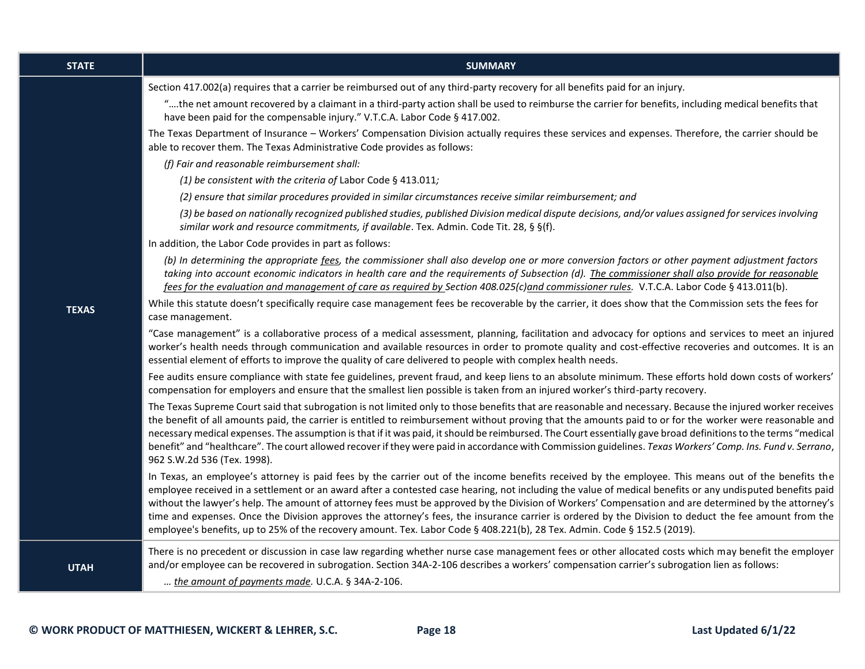| <b>STATE</b> | <b>SUMMARY</b>                                                                                                                                                                                                                                                                                                                                                                                                                                                                                                                                                                                                                                                                                                                                                  |
|--------------|-----------------------------------------------------------------------------------------------------------------------------------------------------------------------------------------------------------------------------------------------------------------------------------------------------------------------------------------------------------------------------------------------------------------------------------------------------------------------------------------------------------------------------------------------------------------------------------------------------------------------------------------------------------------------------------------------------------------------------------------------------------------|
|              | Section 417.002(a) requires that a carrier be reimbursed out of any third-party recovery for all benefits paid for an injury.                                                                                                                                                                                                                                                                                                                                                                                                                                                                                                                                                                                                                                   |
|              | "the net amount recovered by a claimant in a third-party action shall be used to reimburse the carrier for benefits, including medical benefits that<br>have been paid for the compensable injury." V.T.C.A. Labor Code § 417.002.                                                                                                                                                                                                                                                                                                                                                                                                                                                                                                                              |
|              | The Texas Department of Insurance - Workers' Compensation Division actually requires these services and expenses. Therefore, the carrier should be<br>able to recover them. The Texas Administrative Code provides as follows:                                                                                                                                                                                                                                                                                                                                                                                                                                                                                                                                  |
|              | (f) Fair and reasonable reimbursement shall:                                                                                                                                                                                                                                                                                                                                                                                                                                                                                                                                                                                                                                                                                                                    |
|              | (1) be consistent with the criteria of Labor Code § 413.011;                                                                                                                                                                                                                                                                                                                                                                                                                                                                                                                                                                                                                                                                                                    |
|              | (2) ensure that similar procedures provided in similar circumstances receive similar reimbursement; and                                                                                                                                                                                                                                                                                                                                                                                                                                                                                                                                                                                                                                                         |
|              | (3) be based on nationally recognized published studies, published Division medical dispute decisions, and/or values assigned for services involving<br>similar work and resource commitments, if available. Tex. Admin. Code Tit. 28, § §(f).                                                                                                                                                                                                                                                                                                                                                                                                                                                                                                                  |
|              | In addition, the Labor Code provides in part as follows:                                                                                                                                                                                                                                                                                                                                                                                                                                                                                                                                                                                                                                                                                                        |
|              | (b) In determining the appropriate fees, the commissioner shall also develop one or more conversion factors or other payment adjustment factors<br>taking into account economic indicators in health care and the requirements of Subsection (d). The commissioner shall also provide for reasonable<br>fees for the evaluation and management of care as required by Section 408.025(c)and commissioner rules. V.T.C.A. Labor Code § 413.011(b).                                                                                                                                                                                                                                                                                                               |
|              | While this statute doesn't specifically require case management fees be recoverable by the carrier, it does show that the Commission sets the fees for                                                                                                                                                                                                                                                                                                                                                                                                                                                                                                                                                                                                          |
| <b>TEXAS</b> | case management.                                                                                                                                                                                                                                                                                                                                                                                                                                                                                                                                                                                                                                                                                                                                                |
|              | "Case management" is a collaborative process of a medical assessment, planning, facilitation and advocacy for options and services to meet an injured<br>worker's health needs through communication and available resources in order to promote quality and cost-effective recoveries and outcomes. It is an<br>essential element of efforts to improve the quality of care delivered to people with complex health needs.                                                                                                                                                                                                                                                                                                                                     |
|              | Fee audits ensure compliance with state fee guidelines, prevent fraud, and keep liens to an absolute minimum. These efforts hold down costs of workers'<br>compensation for employers and ensure that the smallest lien possible is taken from an injured worker's third-party recovery.                                                                                                                                                                                                                                                                                                                                                                                                                                                                        |
|              | The Texas Supreme Court said that subrogation is not limited only to those benefits that are reasonable and necessary. Because the injured worker receives<br>the benefit of all amounts paid, the carrier is entitled to reimbursement without proving that the amounts paid to or for the worker were reasonable and<br>necessary medical expenses. The assumption is that if it was paid, it should be reimbursed. The Court essentially gave broad definitions to the terms "medical<br>benefit" and "healthcare". The court allowed recover if they were paid in accordance with Commission guidelines. Texas Workers' Comp. Ins. Fund v. Serrano,<br>962 S.W.2d 536 (Tex. 1998).                                                                          |
|              | In Texas, an employee's attorney is paid fees by the carrier out of the income benefits received by the employee. This means out of the benefits the<br>employee received in a settlement or an award after a contested case hearing, not including the value of medical benefits or any undisputed benefits paid<br>without the lawyer's help. The amount of attorney fees must be approved by the Division of Workers' Compensation and are determined by the attorney's<br>time and expenses. Once the Division approves the attorney's fees, the insurance carrier is ordered by the Division to deduct the fee amount from the<br>employee's benefits, up to 25% of the recovery amount. Tex. Labor Code § 408.221(b), 28 Tex. Admin. Code § 152.5 (2019). |
| <b>UTAH</b>  | There is no precedent or discussion in case law regarding whether nurse case management fees or other allocated costs which may benefit the employer<br>and/or employee can be recovered in subrogation. Section 34A-2-106 describes a workers' compensation carrier's subrogation lien as follows:<br>the amount of payments made. U.C.A. § 34A-2-106.                                                                                                                                                                                                                                                                                                                                                                                                         |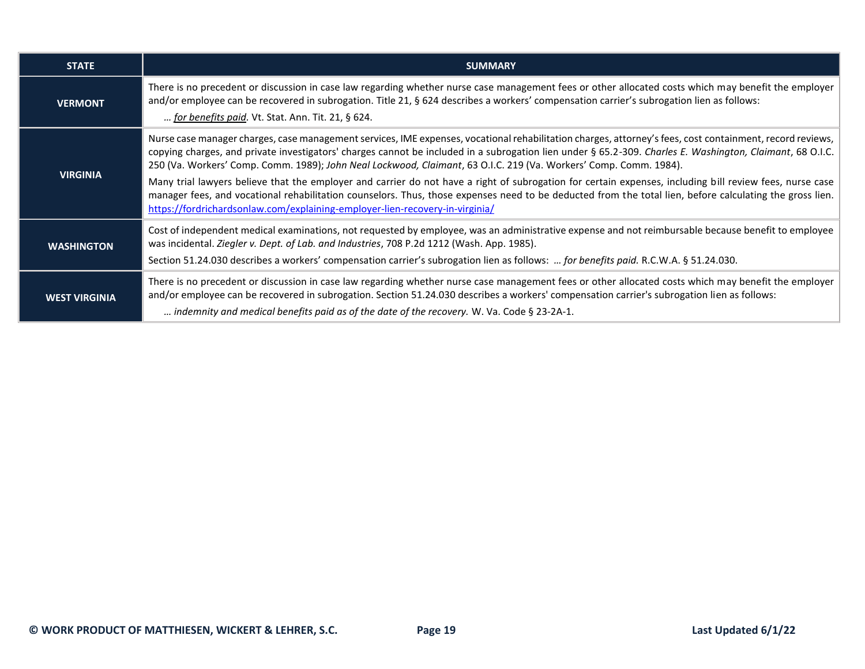| <b>STATE</b>         | <b>SUMMARY</b>                                                                                                                                                                                                                                                                                                                                                                                                                                                                                                                                                                                                                                                                                                                                                                                                                                      |  |
|----------------------|-----------------------------------------------------------------------------------------------------------------------------------------------------------------------------------------------------------------------------------------------------------------------------------------------------------------------------------------------------------------------------------------------------------------------------------------------------------------------------------------------------------------------------------------------------------------------------------------------------------------------------------------------------------------------------------------------------------------------------------------------------------------------------------------------------------------------------------------------------|--|
| <b>VERMONT</b>       | There is no precedent or discussion in case law regarding whether nurse case management fees or other allocated costs which may benefit the employer<br>and/or employee can be recovered in subrogation. Title 21, § 624 describes a workers' compensation carrier's subrogation lien as follows:<br>for benefits paid. Vt. Stat. Ann. Tit. 21, § 624.                                                                                                                                                                                                                                                                                                                                                                                                                                                                                              |  |
| <b>VIRGINIA</b>      | Nurse case manager charges, case management services, IME expenses, vocational rehabilitation charges, attorney's fees, cost containment, record reviews,<br>copying charges, and private investigators' charges cannot be included in a subrogation lien under § 65.2-309. Charles E. Washington, Claimant, 68 O.I.C.<br>250 (Va. Workers' Comp. Comm. 1989); John Neal Lockwood, Claimant, 63 O.I.C. 219 (Va. Workers' Comp. Comm. 1984).<br>Many trial lawyers believe that the employer and carrier do not have a right of subrogation for certain expenses, including bill review fees, nurse case<br>manager fees, and vocational rehabilitation counselors. Thus, those expenses need to be deducted from the total lien, before calculating the gross lien.<br>https://fordrichardsonlaw.com/explaining-employer-lien-recovery-in-virginia/ |  |
| <b>WASHINGTON</b>    | Cost of independent medical examinations, not requested by employee, was an administrative expense and not reimbursable because benefit to employee<br>was incidental. Ziegler v. Dept. of Lab. and Industries, 708 P.2d 1212 (Wash. App. 1985).<br>Section 51.24.030 describes a workers' compensation carrier's subrogation lien as follows:  for benefits paid. R.C.W.A. § 51.24.030.                                                                                                                                                                                                                                                                                                                                                                                                                                                            |  |
| <b>WEST VIRGINIA</b> | There is no precedent or discussion in case law regarding whether nurse case management fees or other allocated costs which may benefit the employer<br>and/or employee can be recovered in subrogation. Section 51.24.030 describes a workers' compensation carrier's subrogation lien as follows:<br>indemnity and medical benefits paid as of the date of the recovery. W. Va. Code § 23-2A-1.                                                                                                                                                                                                                                                                                                                                                                                                                                                   |  |